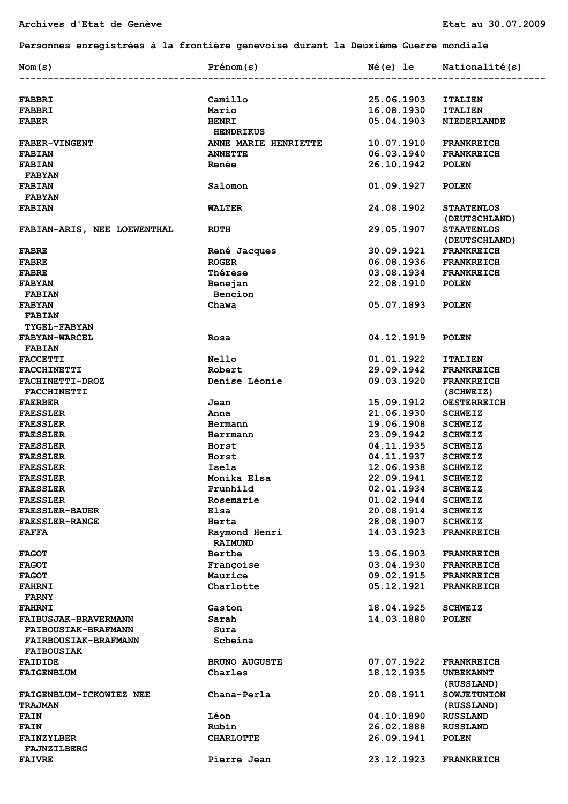**Personnes enregistrées à la frontière genevoise durant la Deuxième Guerre mondiale** 

| Nom(s)                      | Prénom(s)                        | Né(e) le   | Nationalité(s)     |
|-----------------------------|----------------------------------|------------|--------------------|
|                             |                                  |            |                    |
| <b>FABBRI</b>               | Camillo                          | 25.06.1903 | <b>ITALIEN</b>     |
| <b>FABBRI</b>               | Mario                            | 16.08.1930 | <b>ITALIEN</b>     |
| <b>FABER</b>                | <b>HENRI</b><br><b>HENDRIKUS</b> | 05.04.1903 | NIEDERLANDE        |
| <b>FABER-VINGENT</b>        | ANNE MARIE HENRIETTE             | 10.07.1910 | <b>FRANKREICH</b>  |
| <b>FABIAN</b>               | <b>ANNETTE</b>                   | 06.03.1940 | <b>FRANKREICH</b>  |
| <b>FABIAN</b>               | Renée                            | 26.10.1942 | <b>POLEN</b>       |
| <b>FABYAN</b>               |                                  |            |                    |
| <b>FABIAN</b>               | Salomon                          | 01.09.1927 | <b>POLEN</b>       |
| <b>FABYAN</b>               |                                  |            |                    |
| <b>FABIAN</b>               | <b>WALTER</b>                    | 24.08.1902 | <b>STAATENLOS</b>  |
|                             |                                  |            | (DEUTSCHLAND)      |
| FABIAN-ARIS, NEE LOEWENTHAL | <b>RUTH</b>                      | 29.05.1907 | <b>STAATENLOS</b>  |
|                             |                                  |            | (DEUTSCHLAND)      |
| <b>FABRE</b>                | René Jacques                     | 30.09.1921 | <b>FRANKREICH</b>  |
| <b>FABRE</b>                | <b>ROGER</b>                     | 06.08.1936 | <b>FRANKREICH</b>  |
| <b>FABRE</b>                | Thérèse                          | 03.08.1934 | <b>FRANKREICH</b>  |
| <b>FABYAN</b>               | Benejan                          | 22.08.1910 | <b>POLEN</b>       |
| <b>FABIAN</b>               | Bencion                          |            |                    |
| <b>FABYAN</b>               | Chawa                            | 05.07.1893 | <b>POLEN</b>       |
| <b>FABIAN</b>               |                                  |            |                    |
| <b>TYGEL-FABYAN</b>         |                                  |            |                    |
| <b>FABYAN-WARCEL</b>        | Rosa                             | 04.12.1919 | <b>POLEN</b>       |
| <b>FABIAN</b>               |                                  |            |                    |
| <b>FACCETTI</b>             | <b>Nello</b>                     | 01.01.1922 | <b>ITALIEN</b>     |
| <b>FACCHINETTI</b>          | Robert                           | 29.09.1942 |                    |
|                             | Denise Léonie                    | 09.03.1920 | <b>FRANKREICH</b>  |
| <b>FACHINETTI-DROZ</b>      |                                  |            | <b>FRANKREICH</b>  |
| <b>FACCHINETTI</b>          |                                  |            | (SCHWEIZ)          |
| <b>FAERBER</b>              | Jean                             | 15.09.1912 | <b>OESTERREICH</b> |
| <b>FAESSLER</b>             | Anna                             | 21.06.1930 | <b>SCHWEIZ</b>     |
| <b>FAESSLER</b>             | Hermann                          | 19.06.1908 | <b>SCHWEIZ</b>     |
| <b>FAESSLER</b>             | Herrmann                         | 23.09.1942 | <b>SCHWEIZ</b>     |
| <b>FAESSLER</b>             | Horst                            | 04.11.1935 | <b>SCHWEIZ</b>     |
| <b>FAESSLER</b>             | Horst                            | 04.11.1937 | <b>SCHWEIZ</b>     |
| <b>FAESSLER</b>             | Isela                            | 12.06.1938 | <b>SCHWEIZ</b>     |
| <b>FAESSLER</b>             | Monika Elsa                      | 22.09.1941 | <b>SCHWEIZ</b>     |
| <b>FAESSLER</b>             | Prunhild                         | 02.01.1934 | <b>SCHWEIZ</b>     |
| <b>FAESSLER</b>             | Rosemarie                        | 01.02.1944 | <b>SCHWEIZ</b>     |
| <b>FAESSLER-BAUER</b>       | Elsa                             | 20.08.1914 | <b>SCHWEIZ</b>     |
| <b>FAESSLER-RANGE</b>       | Herta                            | 28.08.1907 | <b>SCHWEIZ</b>     |
| <b>FAFFA</b>                | Raymond Henri                    | 14.03.1923 | <b>FRANKREICH</b>  |
|                             | <b>RAIMUND</b>                   |            |                    |
| <b>FAGOT</b>                | <b>Berthe</b>                    | 13.06.1903 | <b>FRANKREICH</b>  |
| <b>FAGOT</b>                | Françoise                        | 03.04.1930 | <b>FRANKREICH</b>  |
| <b>FAGOT</b>                | Maurice                          | 09.02.1915 | <b>FRANKREICH</b>  |
| <b>FAHRNI</b>               | Charlotte                        | 05.12.1921 | <b>FRANKREICH</b>  |
| <b>FARNY</b>                |                                  |            |                    |
| <b>FAHRNI</b>               | Gaston                           | 18.04.1925 | <b>SCHWEIZ</b>     |
| <b>FAIBUSJAK-BRAVERMANN</b> | Sarah                            | 14.03.1880 | <b>POLEN</b>       |
| <b>FAIBOUSIAK-BRAFMANN</b>  | Sura                             |            |                    |
| <b>FAIRBOUSIAK-BRAFMANN</b> | Scheina                          |            |                    |
| <b>FAIBOUSIAK</b>           |                                  |            |                    |
| <b>FAIDIDE</b>              | <b>BRUNO AUGUSTE</b>             | 07.07.1922 | <b>FRANKREICH</b>  |
| <b>FAIGENBLUM</b>           | Charles                          | 18.12.1935 | <b>UNBEKANNT</b>   |
|                             |                                  |            | (RUSSLAND)         |
| FAIGENBLUM-ICKOWIEZ NEE     | Chana-Perla                      | 20.08.1911 | <b>SOWJETUNION</b> |
| <b>TRAJMAN</b>              |                                  |            | (RUSSLAND)         |
| <b>FAIN</b>                 | Léon                             | 04.10.1890 | <b>RUSSLAND</b>    |
| <b>FAIN</b>                 | Rubin                            | 26.02.1888 | <b>RUSSLAND</b>    |
| <b>FAINZYLBER</b>           | <b>CHARLOTTE</b>                 | 26.09.1941 | <b>POLEN</b>       |
| <b>FAJNZILBERG</b>          |                                  |            |                    |
| <b>FAIVRE</b>               | Pierre Jean                      | 23.12.1923 | <b>FRANKREICH</b>  |
|                             |                                  |            |                    |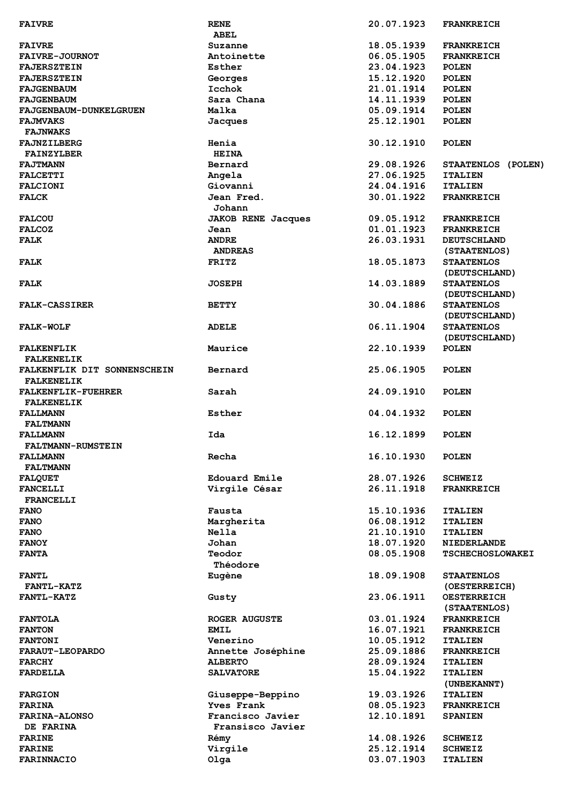| <b>FAIVRE</b>                 | <b>RENE</b>               | 20.07.1923 | <b>FRANKREICH</b>       |
|-------------------------------|---------------------------|------------|-------------------------|
|                               | ABEL                      |            |                         |
| <b>FAIVRE</b>                 | Suzanne                   | 18.05.1939 | <b>FRANKREICH</b>       |
|                               |                           |            |                         |
| <b>FAIVRE-JOURNOT</b>         | Antoinette                | 06.05.1905 | <b>FRANKREICH</b>       |
| <b>FAJERSZTEIN</b>            | Esther                    | 23.04.1923 | <b>POLEN</b>            |
| <b>FAJERSZTEIN</b>            | Georges                   | 15.12.1920 | <b>POLEN</b>            |
| <b>FAJGENBAUM</b>             | Icchok                    | 21.01.1914 | <b>POLEN</b>            |
|                               |                           |            |                         |
| <b>FAJGENBAUM</b>             | Sara Chana                | 14.11.1939 | <b>POLEN</b>            |
| <b>FAJGENBAUM-DUNKELGRUEN</b> | Malka                     | 05.09.1914 | <b>POLEN</b>            |
| <b>FAJMVAKS</b>               | Jacques                   | 25.12.1901 | <b>POLEN</b>            |
| <b>FAJNWAKS</b>               |                           |            |                         |
|                               |                           |            |                         |
| FAJNZILBERG                   | Henia                     | 30.12.1910 | <b>POLEN</b>            |
| <b>FAINZYLBER</b>             | <b>HEINA</b>              |            |                         |
| <b>FAJTMANN</b>               | Bernard                   | 29.08.1926 | STAATENLOS (POLEN)      |
| <b>FALCETTI</b>               | Angela                    | 27.06.1925 | <b>ITALIEN</b>          |
|                               |                           |            |                         |
| <b>FALCIONI</b>               | Giovanni                  | 24.04.1916 | <b>ITALIEN</b>          |
| <b>FALCK</b>                  | Jean Fred.                | 30.01.1922 | <b>FRANKREICH</b>       |
|                               | Johann                    |            |                         |
| <b>FALCOU</b>                 | <b>JAKOB RENE Jacques</b> | 09.05.1912 | <b>FRANKREICH</b>       |
|                               |                           |            |                         |
| <b>FALCOZ</b>                 | Jean                      | 01.01.1923 | <b>FRANKREICH</b>       |
| <b>FALK</b>                   | <b>ANDRE</b>              | 26.03.1931 | <b>DEUTSCHLAND</b>      |
|                               | <b>ANDREAS</b>            |            | (STAATENLOS)            |
| <b>FALK</b>                   | <b>FRITZ</b>              | 18.05.1873 | <b>STAATENLOS</b>       |
|                               |                           |            |                         |
|                               |                           |            | (DEUTSCHLAND)           |
| <b>FALK</b>                   | <b>JOSEPH</b>             | 14.03.1889 | <b>STAATENLOS</b>       |
|                               |                           |            | (DEUTSCHLAND)           |
|                               |                           |            |                         |
| <b>FALK-CASSIRER</b>          | <b>BETTY</b>              | 30.04.1886 | <b>STAATENLOS</b>       |
|                               |                           |            | (DEUTSCHLAND)           |
| FALK-WOLF                     | <b>ADELE</b>              | 06.11.1904 | <b>STAATENLOS</b>       |
|                               |                           |            | (DEUTSCHLAND)           |
|                               |                           |            |                         |
| <b>FALKENFLIK</b>             | Maurice                   | 22.10.1939 | <b>POLEN</b>            |
| <b>FALKENELIK</b>             |                           |            |                         |
| FALKENFLIK DIT SONNENSCHEIN   | Bernard                   | 25.06.1905 | <b>POLEN</b>            |
| <b>FALKENELIK</b>             |                           |            |                         |
|                               |                           |            |                         |
| <b>FALKENFLIK-FUEHRER</b>     | Sarah                     | 24.09.1910 | <b>POLEN</b>            |
| <b>FALKENELIK</b>             |                           |            |                         |
| <b>FALLMANN</b>               | Esther                    | 04.04.1932 | <b>POLEN</b>            |
|                               |                           |            |                         |
| <b>FALTMANN</b>               |                           |            |                         |
| <b>FALLMANN</b>               | Ida                       | 16.12.1899 | <b>POLEN</b>            |
| <b>FALTMANN-RUMSTEIN</b>      |                           |            |                         |
| <b>FALLMANN</b>               | Recha                     | 16.10.1930 | <b>POLEN</b>            |
|                               |                           |            |                         |
| <b>FALTMANN</b>               |                           |            |                         |
| <b>FALQUET</b>                | Edouard Emile             | 28.07.1926 | <b>SCHWEIZ</b>          |
| <b>FANCELLI</b>               | Virgile César             | 26.11.1918 | <b>FRANKREICH</b>       |
| <b>FRANCELLI</b>              |                           |            |                         |
|                               |                           |            |                         |
| <b>FANO</b>                   | Fausta                    | 15.10.1936 | <b>ITALIEN</b>          |
| <b>FANO</b>                   | Margherita                | 06.08.1912 | <b>ITALIEN</b>          |
| <b>FANO</b>                   | Nella                     | 21.10.1910 | <b>ITALIEN</b>          |
| <b>FANOY</b>                  | Johan                     | 18.07.1920 | <b>NIEDERLANDE</b>      |
|                               |                           |            |                         |
| <b>FANTA</b>                  | Teodor                    | 08.05.1908 | <b>TSCHECHOSLOWAKEI</b> |
|                               | Théodore                  |            |                         |
| <b>FANTL</b>                  | Eugène                    | 18.09.1908 | <b>STAATENLOS</b>       |
| <b>FANTL-KATZ</b>             |                           |            | (OESTERREICH)           |
|                               |                           |            |                         |
| <b>FANTL-KATZ</b>             | Gusty                     | 23.06.1911 | <b>OESTERREICH</b>      |
|                               |                           |            | (STAATENLOS)            |
| <b>FANTOLA</b>                | <b>ROGER AUGUSTE</b>      | 03.01.1924 | <b>FRANKREICH</b>       |
|                               |                           |            |                         |
| <b>FANTON</b>                 | <b>EMIL</b>               | 16.07.1921 | <b>FRANKREICH</b>       |
| <b>FANTONI</b>                | Venerino                  | 10.05.1912 | <b>ITALIEN</b>          |
| <b>FARAUT-LEOPARDO</b>        | Annette Joséphine         | 25.09.1886 | <b>FRANKREICH</b>       |
| <b>FARCHY</b>                 | <b>ALBERTO</b>            | 28.09.1924 | <b>ITALIEN</b>          |
|                               |                           |            |                         |
| <b>FARDELLA</b>               | <b>SALVATORE</b>          | 15.04.1922 | <b>ITALIEN</b>          |
|                               |                           |            | (UNBEKANNT)             |
| <b>FARGION</b>                | Giuseppe-Beppino          | 19.03.1926 | <b>ITALIEN</b>          |
| <b>FARINA</b>                 | Yves Frank                | 08.05.1923 | <b>FRANKREICH</b>       |
|                               |                           |            |                         |
| <b>FARINA-ALONSO</b>          | Francisco Javier          | 12.10.1891 | <b>SPANIEN</b>          |
| DE FARINA                     | Fransisco Javier          |            |                         |
| <b>FARINE</b>                 | Rémy                      | 14.08.1926 | <b>SCHWEIZ</b>          |
| <b>FARINE</b>                 |                           | 25.12.1914 | <b>SCHWEIZ</b>          |
|                               |                           |            |                         |
| <b>FARINNACIO</b>             | Virgile<br>Olga           | 03.07.1903 | <b>ITALIEN</b>          |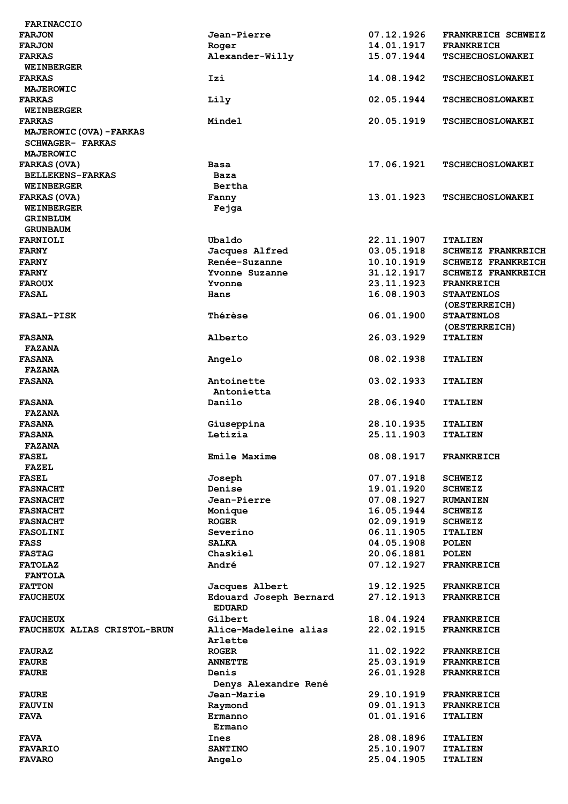| <b>FARINACCIO</b>                            |                        |            |                           |
|----------------------------------------------|------------------------|------------|---------------------------|
| <b>FARJON</b>                                | Jean-Pierre            | 07.12.1926 | FRANKREICH SCHWEIZ        |
| <b>FARJON</b>                                | Roger                  | 14.01.1917 | <b>FRANKREICH</b>         |
| <b>FARKAS</b>                                | Alexander-Willy        | 15.07.1944 | <b>TSCHECHOSLOWAKEI</b>   |
| <b>WEINBERGER</b>                            |                        |            |                           |
| <b>FARKAS</b>                                | Izi                    | 14.08.1942 | <b>TSCHECHOSLOWAKEI</b>   |
| MAJEROWIC                                    |                        |            |                           |
| <b>FARKAS</b>                                | Lily                   | 02.05.1944 | <b>TSCHECHOSLOWAKEI</b>   |
| <b>WEINBERGER</b>                            |                        |            |                           |
| <b>FARKAS</b>                                | Mindel                 | 20.05.1919 | <b>TSCHECHOSLOWAKEI</b>   |
| MAJEROWIC (OVA) - FARKAS<br>SCHWAGER- FARKAS |                        |            |                           |
| MAJEROWIC                                    |                        |            |                           |
| <b>FARKAS (OVA)</b>                          | <b>Basa</b>            | 17.06.1921 | <b>TSCHECHOSLOWAKEI</b>   |
| <b>BELLEKENS-FARKAS</b>                      | Baza                   |            |                           |
| <b>WEINBERGER</b>                            | Bertha                 |            |                           |
| <b>FARKAS (OVA)</b>                          | Fanny                  | 13.01.1923 | <b>TSCHECHOSLOWAKEI</b>   |
| <b>WEINBERGER</b>                            | Feiga                  |            |                           |
| <b>GRINBLUM</b>                              |                        |            |                           |
| <b>GRUNBAUM</b>                              |                        |            |                           |
| FARNIOLI                                     | Ubaldo                 | 22.11.1907 | <b>ITALIEN</b>            |
| <b>FARNY</b>                                 | Jacques Alfred         | 03.05.1918 | <b>SCHWEIZ FRANKREICH</b> |
| <b>FARNY</b>                                 | Renée-Suzanne          | 10.10.1919 | <b>SCHWEIZ FRANKREICH</b> |
| <b>FARNY</b>                                 | Yvonne Suzanne         | 31.12.1917 | <b>SCHWEIZ FRANKREICH</b> |
| <b>FAROUX</b>                                | Yvonne                 | 23.11.1923 | <b>FRANKREICH</b>         |
| <b>FASAL</b>                                 | Hans                   | 16.08.1903 | <b>STAATENLOS</b>         |
|                                              |                        |            | (OESTERREICH)             |
| <b>FASAL-PISK</b>                            | Thérèse                | 06.01.1900 | <b>STAATENLOS</b>         |
|                                              |                        |            | (OESTERREICH)             |
| <b>FASANA</b>                                | Alberto                | 26.03.1929 | <b>ITALIEN</b>            |
| <b>FAZANA</b>                                |                        |            |                           |
| <b>FASANA</b>                                | Angelo                 | 08.02.1938 | <b>ITALIEN</b>            |
| <b>FAZANA</b>                                |                        |            |                           |
| <b>FASANA</b>                                | Antoinette             | 03.02.1933 | <b>ITALIEN</b>            |
|                                              | Antonietta             |            |                           |
| <b>FASANA</b>                                | Danilo                 | 28.06.1940 | <b>ITALIEN</b>            |
| <b>FAZANA</b>                                |                        |            |                           |
| <b>FASANA</b>                                | Giuseppina             | 28.10.1935 | <b>ITALIEN</b>            |
| <b>FASANA</b>                                | Letizia                | 25.11.1903 | <b>ITALIEN</b>            |
| <b>FAZANA</b>                                |                        |            |                           |
| <b>FASEL</b><br><b>FAZEL</b>                 | Emile Maxime           | 08.08.1917 | <b>FRANKREICH</b>         |
| <b>FASEL</b>                                 |                        | 07.07.1918 | <b>SCHWEIZ</b>            |
| <b>FASNACHT</b>                              | Joseph<br>Denise       | 19.01.1920 | <b>SCHWEIZ</b>            |
| <b>FASNACHT</b>                              | Jean-Pierre            | 07.08.1927 | <b>RUMANIEN</b>           |
| <b>FASNACHT</b>                              | Monique                | 16.05.1944 | <b>SCHWEIZ</b>            |
| <b>FASNACHT</b>                              | <b>ROGER</b>           | 02.09.1919 | <b>SCHWEIZ</b>            |
| <b>FASOLINI</b>                              | Severino               | 06.11.1905 | <b>ITALIEN</b>            |
| <b>FASS</b>                                  | <b>SALKA</b>           | 04.05.1908 | <b>POLEN</b>              |
| <b>FASTAG</b>                                | Chaskiel               | 20.06.1881 | <b>POLEN</b>              |
| <b>FATOLAZ</b>                               | André                  | 07.12.1927 | <b>FRANKREICH</b>         |
| <b>FANTOLA</b>                               |                        |            |                           |
| <b>FATTON</b>                                | Jacques Albert         | 19.12.1925 | <b>FRANKREICH</b>         |
| <b>FAUCHEUX</b>                              | Edouard Joseph Bernard | 27.12.1913 | <b>FRANKREICH</b>         |
|                                              | <b>EDUARD</b>          |            |                           |
| <b>FAUCHEUX</b>                              | Gilbert                | 18.04.1924 | <b>FRANKREICH</b>         |
| FAUCHEUX ALIAS CRISTOL-BRUN                  | Alice-Madeleine alias  | 22.02.1915 | <b>FRANKREICH</b>         |
|                                              | Arlette                |            |                           |
| <b>FAURAZ</b>                                | <b>ROGER</b>           | 11.02.1922 | <b>FRANKREICH</b>         |
| <b>FAURE</b>                                 | <b>ANNETTE</b>         | 25.03.1919 | <b>FRANKREICH</b>         |
| <b>FAURE</b>                                 | Denis                  | 26.01.1928 | <b>FRANKREICH</b>         |
|                                              | Denys Alexandre René   |            |                           |
| <b>FAURE</b>                                 | Jean-Marie             | 29.10.1919 | <b>FRANKREICH</b>         |
| <b>FAUVIN</b>                                | Raymond                | 09.01.1913 | <b>FRANKREICH</b>         |
| <b>FAVA</b>                                  | Ermanno                | 01.01.1916 | <b>ITALIEN</b>            |
|                                              | Ermano                 |            |                           |
| <b>FAVA</b>                                  | Ines                   | 28.08.1896 | <b>ITALIEN</b>            |
| <b>FAVARIO</b>                               | <b>SANTINO</b>         | 25.10.1907 | <b>ITALIEN</b>            |
| <b>FAVARO</b>                                | Angelo                 | 25.04.1905 | <b>ITALIEN</b>            |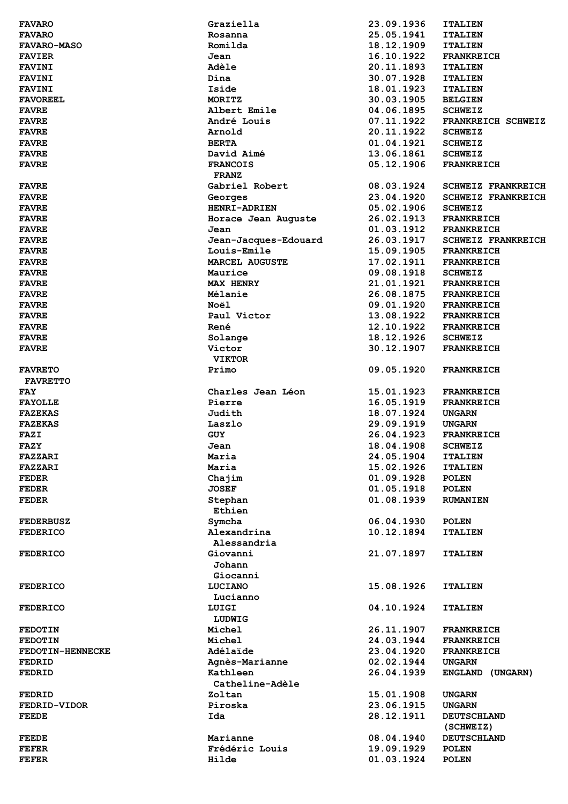| <b>FAVARO</b>           | Graziella               | 23.09.1936               | <b>ITALIEN</b>               |
|-------------------------|-------------------------|--------------------------|------------------------------|
| <b>FAVARO</b>           | Rosanna                 | 25.05.1941               | <b>ITALIEN</b>               |
| <b>FAVARO-MASO</b>      | Romilda                 | 18.12.1909               | <b>ITALIEN</b>               |
| <b>FAVIER</b>           | Jean                    | 16.10.1922               | <b>FRANKREICH</b>            |
| <b>FAVINI</b>           | Adèle                   | 20.11.1893               | <b>ITALIEN</b>               |
| <b>FAVINI</b>           | Dina                    | 30.07.1928               | <b>ITALIEN</b>               |
|                         |                         |                          |                              |
| <b>FAVINI</b>           | Iside                   | 18.01.1923               | <b>ITALIEN</b>               |
| <b>FAVOREEL</b>         | MORITZ                  | 30.03.1905               | <b>BELGIEN</b>               |
| <b>FAVRE</b>            | Albert Emile            | 04.06.1895               | <b>SCHWEIZ</b>               |
| <b>FAVRE</b>            | André Louis             | 07.11.1922               | FRANKREICH SCHWEIZ           |
| <b>FAVRE</b>            | Arnold                  | 20.11.1922               | <b>SCHWEIZ</b>               |
| <b>FAVRE</b>            | <b>BERTA</b>            | 01.04.1921               | <b>SCHWEIZ</b>               |
| <b>FAVRE</b>            | David Aimé              | 13.06.1861               | <b>SCHWEIZ</b>               |
| <b>FAVRE</b>            | <b>FRANCOIS</b>         | 05.12.1906               | <b>FRANKREICH</b>            |
|                         | <b>FRANZ</b>            |                          |                              |
|                         | Gabriel Robert          | 08.03.1924               | <b>SCHWEIZ FRANKREICH</b>    |
| <b>FAVRE</b>            |                         |                          |                              |
| <b>FAVRE</b>            | Georges                 | 23.04.1920               | <b>SCHWEIZ FRANKREICH</b>    |
| <b>FAVRE</b>            | <b>HENRI-ADRIEN</b>     | 05.02.1906               | <b>SCHWEIZ</b>               |
| <b>FAVRE</b>            | Horace Jean Auguste     | 26.02.1913               | <b>FRANKREICH</b>            |
| <b>FAVRE</b>            | Jean                    | 01.03.1912               | <b>FRANKREICH</b>            |
| <b>FAVRE</b>            | Jean-Jacques-Edouard    | 26.03.1917               | <b>SCHWEIZ FRANKREICH</b>    |
| <b>FAVRE</b>            | Louis-Emile             | 15.09.1905               | <b>FRANKREICH</b>            |
| <b>FAVRE</b>            | <b>MARCEL AUGUSTE</b>   | 17.02.1911               | <b>FRANKREICH</b>            |
| <b>FAVRE</b>            | Maurice                 | 09.08.1918               | <b>SCHWEIZ</b>               |
| <b>FAVRE</b>            | <b>MAX HENRY</b>        | 21.01.1921               | <b>FRANKREICH</b>            |
|                         | Mélanie                 | 26.08.1875               | <b>FRANKREICH</b>            |
| <b>FAVRE</b>            |                         |                          |                              |
| <b>FAVRE</b>            | Noël                    | 09.01.1920               | <b>FRANKREICH</b>            |
| <b>FAVRE</b>            | Paul Victor             | 13.08.1922               | <b>FRANKREICH</b>            |
| <b>FAVRE</b>            | René                    | 12.10.1922               | <b>FRANKREICH</b>            |
| <b>FAVRE</b>            | Solange                 | 18.12.1926               | <b>SCHWEIZ</b>               |
| <b>FAVRE</b>            | Victor                  | 30.12.1907               | <b>FRANKREICH</b>            |
|                         | <b>VIKTOR</b>           |                          |                              |
| <b>FAVRETO</b>          | Primo                   | 09.05.1920               | <b>FRANKREICH</b>            |
| <b>FAVRETTO</b>         |                         |                          |                              |
| <b>FAY</b>              | Charles Jean Léon       | 15.01.1923               | <b>FRANKREICH</b>            |
| <b>FAYOLLE</b>          | Pierre                  | 16.05.1919               | <b>FRANKREICH</b>            |
|                         |                         |                          |                              |
| <b>FAZEKAS</b>          | Judith                  | 18.07.1924               | <b>UNGARN</b>                |
| <b>FAZEKAS</b>          | Laszlo                  | 29.09.1919               | <b>UNGARN</b>                |
| FAZI                    | <b>GUY</b>              | 26.04.1923               | <b>FRANKREICH</b>            |
| <b>FAZY</b>             | Jean                    | 18.04.1908               | <b>SCHWEIZ</b>               |
| FAZZARI                 | Maria                   | 24.05.1904               | <b>ITALIEN</b>               |
| FAZZARI                 | Maria                   | 15.02.1926               | <b>ITALIEN</b>               |
| <b>FEDER</b>            | Chajim                  | 01.09.1928               | <b>POLEN</b>                 |
| <b>FEDER</b>            | <b>JOSEF</b>            | 01.05.1918               | <b>POLEN</b>                 |
| <b>FEDER</b>            | Stephan                 | 01.08.1939               | <b>RUMANIEN</b>              |
|                         | Ethien                  |                          |                              |
|                         |                         |                          |                              |
| <b>FEDERBUSZ</b>        | Symcha                  | 06.04.1930               | <b>POLEN</b>                 |
| <b>FEDERICO</b>         | Alexandrina             | 10.12.1894               | <b>ITALIEN</b>               |
|                         | Alessandria             |                          |                              |
| <b>FEDERICO</b>         | Giovanni                | 21.07.1897               | <b>ITALIEN</b>               |
|                         | Johann                  |                          |                              |
|                         | Giocanni                |                          |                              |
| <b>FEDERICO</b>         | LUCIANO                 | 15.08.1926               | <b>ITALIEN</b>               |
|                         | Lucianno                |                          |                              |
| <b>FEDERICO</b>         | LUIGI                   | 04.10.1924               | <b>ITALIEN</b>               |
|                         | LUDWIG                  |                          |                              |
|                         |                         | 26.11.1907               |                              |
| <b>FEDOTIN</b>          | Michel                  |                          | <b>FRANKREICH</b>            |
| <b>FEDOTIN</b>          | Michel                  | 24.03.1944               | <b>FRANKREICH</b>            |
| <b>FEDOTIN-HENNECKE</b> | Adélaïde                | 23.04.1920               | <b>FRANKREICH</b>            |
| <b>FEDRID</b>           | Agnès-Marianne          | 02.02.1944               | <b>UNGARN</b>                |
| <b>FEDRID</b>           | Kathleen                | 26.04.1939               | ENGLAND (UNGARN)             |
|                         | Catheline-Adèle         |                          |                              |
| <b>FEDRID</b>           | Zoltan                  | 15.01.1908               | <b>UNGARN</b>                |
| <b>FEDRID-VIDOR</b>     | Piroska                 | 23.06.1915               | <b>UNGARN</b>                |
| FEEDE                   | Ida                     | 28.12.1911               | <b>DEUTSCHLAND</b>           |
|                         |                         |                          | (SCHWEIZ)                    |
| <b>FEEDE</b>            |                         |                          |                              |
|                         |                         |                          |                              |
|                         | Marianne                | 08.04.1940               | <b>DEUTSCHLAND</b>           |
| FEFER<br><b>FEFER</b>   | Frédéric Louis<br>Hilde | 19.09.1929<br>01.03.1924 | <b>POLEN</b><br><b>POLEN</b> |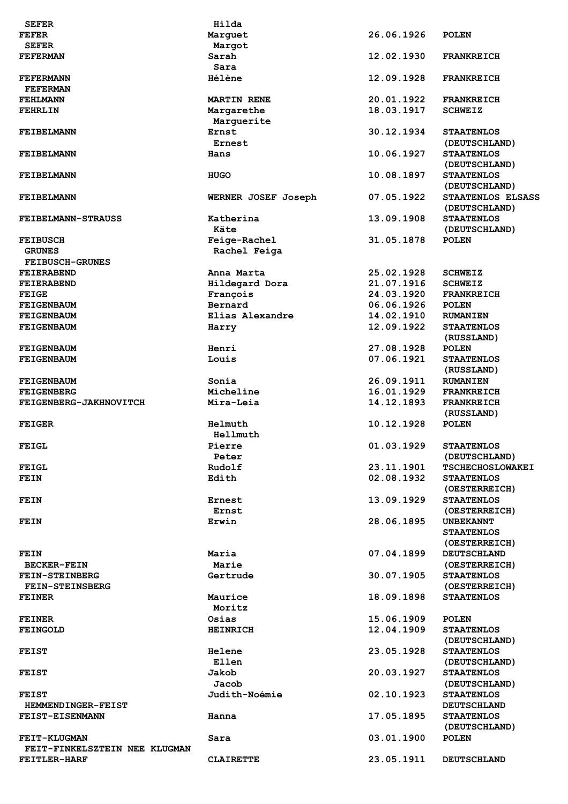| <b>SEFER</b>                  | Hilda                |            |                         |
|-------------------------------|----------------------|------------|-------------------------|
| <b>FEFER</b>                  |                      | 26.06.1926 | <b>POLEN</b>            |
| <b>SEFER</b>                  | Marquet              |            |                         |
|                               | Margot               |            |                         |
| <b>FEFERMAN</b>               | Sarah<br>Sara        | 12.02.1930 | <b>FRANKREICH</b>       |
| <b>FEFERMANN</b>              | <b>Hélène</b>        | 12.09.1928 | <b>FRANKREICH</b>       |
|                               |                      |            |                         |
| <b>FEFERMAN</b>               |                      |            |                         |
| <b>FEHLMANN</b>               | <b>MARTIN RENE</b>   | 20.01.1922 | <b>FRANKREICH</b>       |
| <b>FEHRLIN</b>                | Margarethe           | 18.03.1917 | <b>SCHWEIZ</b>          |
|                               | Marguerite           |            |                         |
| <b>FEIBELMANN</b>             | Ernst                | 30.12.1934 | <b>STAATENLOS</b>       |
|                               | Ernest               |            | (DEUTSCHLAND)           |
| <b>FEIBELMANN</b>             | Hans                 | 10.06.1927 | <b>STAATENLOS</b>       |
|                               |                      |            | (DEUTSCHLAND)           |
| <b>FEIBELMANN</b>             | <b>HUGO</b>          | 10.08.1897 | <b>STAATENLOS</b>       |
|                               |                      |            | (DEUTSCHLAND)           |
| <b>FEIBELMANN</b>             | WERNER JOSEF Joseph  | 07.05.1922 | STAATENLOS ELSASS       |
|                               |                      |            | (DEUTSCHLAND)           |
| <b>FEIBELMANN-STRAUSS</b>     | Katherina            | 13.09.1908 | <b>STAATENLOS</b>       |
|                               | Käte                 |            | (DEUTSCHLAND)           |
| <b>FEIBUSCH</b>               | Feige-Rachel         | 31.05.1878 | <b>POLEN</b>            |
| <b>GRUNES</b>                 | Rachel Feiga         |            |                         |
| <b>FEIBUSCH-GRUNES</b>        |                      |            |                         |
| <b>FEIERABEND</b>             | Anna Marta           | 25.02.1928 | <b>SCHWEIZ</b>          |
| <b>FEIERABEND</b>             | Hildegard Dora       | 21.07.1916 | <b>SCHWEIZ</b>          |
| <b>FEIGE</b>                  | François             | 24.03.1920 | <b>FRANKREICH</b>       |
| <b>FEIGENBAUM</b>             | Bernard              | 06.06.1926 | <b>POLEN</b>            |
| <b>FEIGENBAUM</b>             | Elias Alexandre      | 14.02.1910 | <b>RUMANIEN</b>         |
| <b>FEIGENBAUM</b>             | Harry                | 12.09.1922 | <b>STAATENLOS</b>       |
|                               |                      |            | (RUSSLAND)              |
| <b>FEIGENBAUM</b>             | Henri                | 27.08.1928 | <b>POLEN</b>            |
| <b>FEIGENBAUM</b>             | Louis                | 07.06.1921 | <b>STAATENLOS</b>       |
|                               |                      |            | (RUSSLAND)              |
| <b>FEIGENBAUM</b>             | Sonia                | 26.09.1911 | <b>RUMANIEN</b>         |
| <b>FEIGENBERG</b>             | Micheline            | 16.01.1929 | <b>FRANKREICH</b>       |
| FEIGENBERG-JAKHNOVITCH        | Mira-Leia            | 14.12.1893 | <b>FRANKREICH</b>       |
|                               |                      |            | (RUSSLAND)              |
|                               | Helmuth              | 10.12.1928 | <b>POLEN</b>            |
| <b>FEIGER</b>                 |                      |            |                         |
|                               | Hellmuth             |            |                         |
| FEIGL                         | Pierre               | 01.03.1929 | <b>STAATENLOS</b>       |
|                               | Peter                |            | (DEUTSCHLAND)           |
| FEIGL                         | Rudolf               | 23.11.1901 | <b>TSCHECHOSLOWAKEI</b> |
| FEIN                          | Edith                | 02.08.1932 | <b>STAATENLOS</b>       |
|                               |                      |            | (OESTERREICH)           |
| FEIN                          | Ernest               | 13.09.1929 | <b>STAATENLOS</b>       |
|                               | Ernst                |            | (OESTERREICH)           |
| FEIN                          | Erwin                | 28.06.1895 | <b>UNBEKANNT</b>        |
|                               |                      |            | <b>STAATENLOS</b>       |
|                               |                      |            | (OESTERREICH)           |
| FEIN                          | Maria                | 07.04.1899 | <b>DEUTSCHLAND</b>      |
| <b>BECKER-FEIN</b>            | Marie                |            | (OESTERREICH)           |
| <b>FEIN-STEINBERG</b>         | Gertrude             | 30.07.1905 | <b>STAATENLOS</b>       |
| <b>FEIN-STEINSBERG</b>        |                      |            | (OESTERREICH)           |
| <b>FEINER</b>                 | Maurice              | 18.09.1898 | <b>STAATENLOS</b>       |
|                               | Moritz               |            |                         |
| <b>FEINER</b>                 | Osias                | 15.06.1909 | <b>POLEN</b>            |
| <b>FEINGOLD</b>               | <b>HEINRICH</b>      | 12.04.1909 | <b>STAATENLOS</b>       |
|                               |                      |            | (DEUTSCHLAND)           |
| <b>FEIST</b>                  | <b>Helene</b>        | 23.05.1928 | <b>STAATENLOS</b>       |
|                               | Ellen                |            | (DEUTSCHLAND)           |
| <b>FEIST</b>                  | Jakob                | 20.03.1927 | <b>STAATENLOS</b>       |
|                               | Jacob                |            | (DEUTSCHLAND)           |
| <b>FEIST</b>                  | <b>Judith-Noémie</b> | 02.10.1923 | <b>STAATENLOS</b>       |
| HEMMENDINGER-FEIST            |                      |            | <b>DEUTSCHLAND</b>      |
| <b>FEIST-EISENMANN</b>        | Hanna                | 17.05.1895 | <b>STAATENLOS</b>       |
|                               |                      |            | (DEUTSCHLAND)           |
| FEIT-KLUGMAN                  | Sara                 | 03.01.1900 | <b>POLEN</b>            |
| FEIT-FINKELSZTEIN NEE KLUGMAN |                      |            |                         |
|                               |                      | 23.05.1911 |                         |
| FEITLER-HARF                  | <b>CLAIRETTE</b>     |            | <b>DEUTSCHLAND</b>      |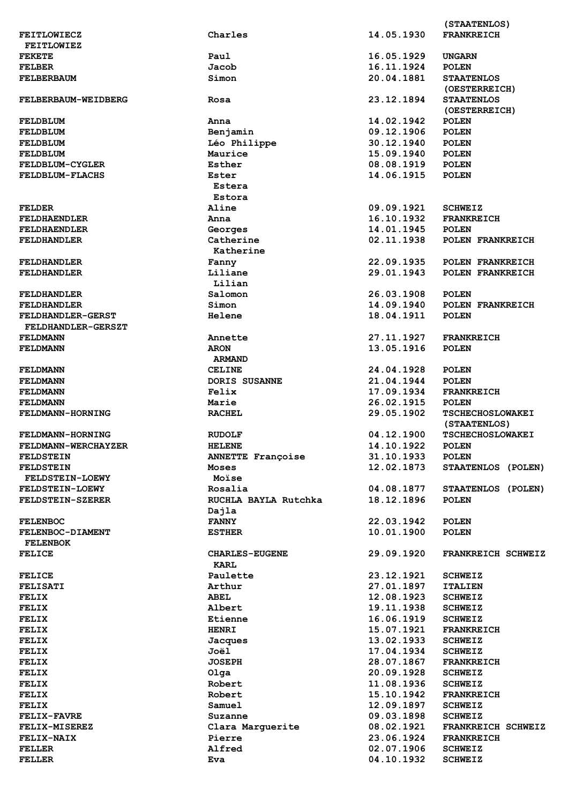|                           |                          |            | (STAATENLOS)            |
|---------------------------|--------------------------|------------|-------------------------|
| <b>FEITLOWIECZ</b>        | Charles                  | 14.05.1930 | <b>FRANKREICH</b>       |
| <b>FEITLOWIEZ</b>         |                          |            |                         |
| <b>FEKETE</b>             | Paul                     | 16.05.1929 | <b>UNGARN</b>           |
| <b>FELBER</b>             | Jacob                    | 16.11.1924 | <b>POLEN</b>            |
| <b>FELBERBAUM</b>         | Simon                    | 20.04.1881 | <b>STAATENLOS</b>       |
|                           |                          |            | (OESTERREICH)           |
| FELBERBAUM-WEIDBERG       | Rosa                     | 23.12.1894 | <b>STAATENLOS</b>       |
|                           |                          |            | (OESTERREICH)           |
| FELDBLUM                  | Anna                     | 14.02.1942 | <b>POLEN</b>            |
| FELDBLUM                  | Benjamin                 | 09.12.1906 | <b>POLEN</b>            |
|                           |                          |            |                         |
| FELDBLUM                  | Léo Philippe             | 30.12.1940 | <b>POLEN</b>            |
| FELDBLUM                  | Maurice                  | 15.09.1940 | <b>POLEN</b>            |
| <b>FELDBLUM-CYGLER</b>    | Esther                   | 08.08.1919 | <b>POLEN</b>            |
| <b>FELDBLUM-FLACHS</b>    | Ester                    | 14.06.1915 | <b>POLEN</b>            |
|                           | Estera                   |            |                         |
|                           | Estora                   |            |                         |
| <b>FELDER</b>             | Aline                    | 09.09.1921 | <b>SCHWEIZ</b>          |
| <b>FELDHAENDLER</b>       | Anna                     | 16.10.1932 | <b>FRANKREICH</b>       |
| <b>FELDHAENDLER</b>       | Georges                  | 14.01.1945 | <b>POLEN</b>            |
| <b>FELDHANDLER</b>        | Catherine                | 02.11.1938 | POLEN FRANKREICH        |
|                           | Katherine                |            |                         |
| <b>FELDHANDLER</b>        | Fanny                    | 22.09.1935 | POLEN FRANKREICH        |
| <b>FELDHANDLER</b>        | Liliane                  | 29.01.1943 | POLEN FRANKREICH        |
|                           | Lilian                   |            |                         |
| <b>FELDHANDLER</b>        | Salomon                  | 26.03.1908 | <b>POLEN</b>            |
| <b>FELDHANDLER</b>        | Simon                    | 14.09.1940 | POLEN FRANKREICH        |
| <b>FELDHANDLER-GERST</b>  | Helene                   | 18.04.1911 | <b>POLEN</b>            |
|                           |                          |            |                         |
| <b>FELDHANDLER-GERSZT</b> |                          |            |                         |
| <b>FELDMANN</b>           | Annette                  | 27.11.1927 | <b>FRANKREICH</b>       |
| <b>FELDMANN</b>           | <b>ARON</b>              | 13.05.1916 | <b>POLEN</b>            |
|                           | <b>ARMAND</b>            |            |                         |
| <b>FELDMANN</b>           | <b>CELINE</b>            | 24.04.1928 | <b>POLEN</b>            |
| <b>FELDMANN</b>           | <b>DORIS SUSANNE</b>     | 21.04.1944 | <b>POLEN</b>            |
| <b>FELDMANN</b>           | Felix                    | 17.09.1934 | <b>FRANKREICH</b>       |
| <b>FELDMANN</b>           | Marie                    | 26.02.1915 | <b>POLEN</b>            |
| FELDMANN-HORNING          | <b>RACHEL</b>            | 29.05.1902 | <b>TSCHECHOSLOWAKEI</b> |
|                           |                          |            | (STAATENLOS)            |
| FELDMANN-HORNING          | <b>RUDOLF</b>            | 04.12.1900 | <b>TSCHECHOSLOWAKEI</b> |
| FELDMANN-WERCHAYZER       | <b>HELENE</b>            | 14.10.1922 | <b>POLEN</b>            |
| <b>FELDSTEIN</b>          | <b>ANNETTE Françoise</b> | 31.10.1933 | <b>POLEN</b>            |
| <b>FELDSTEIN</b>          | Moses                    | 12.02.1873 | STAATENLOS (POLEN)      |
| <b>FELDSTEIN-LOEWY</b>    | Moïse                    |            |                         |
| FELDSTEIN-LOEWY           | Rosalia                  | 04.08.1877 | STAATENLOS (POLEN)      |
|                           |                          | 18.12.1896 |                         |
| <b>FELDSTEIN-SZERER</b>   | RUCHLA BAYLA Rutchka     |            | <b>POLEN</b>            |
|                           | Dajla                    |            |                         |
| <b>FELENBOC</b>           | <b>FANNY</b>             | 22.03.1942 | <b>POLEN</b>            |
| FELENBOC-DIAMENT          | <b>ESTHER</b>            | 10.01.1900 | <b>POLEN</b>            |
| <b>FELENBOK</b>           |                          |            |                         |
| <b>FELICE</b>             | <b>CHARLES-EUGENE</b>    | 29.09.1920 | FRANKREICH SCHWEIZ      |
|                           | KARL                     |            |                         |
| <b>FELICE</b>             | Paulette                 | 23.12.1921 | <b>SCHWEIZ</b>          |
| <b>FELISATI</b>           | Arthur                   | 27.01.1897 | <b>ITALIEN</b>          |
| <b>FELIX</b>              | <b>ABEL</b>              | 12.08.1923 | <b>SCHWEIZ</b>          |
| <b>FELIX</b>              | Albert                   | 19.11.1938 | <b>SCHWEIZ</b>          |
| FELIX                     | Etienne                  | 16.06.1919 | <b>SCHWEIZ</b>          |
| FELIX                     | <b>HENRI</b>             | 15.07.1921 | <b>FRANKREICH</b>       |
| FELIX                     | Jacques                  | 13.02.1933 | <b>SCHWEIZ</b>          |
| <b>FELIX</b>              | Joël                     | 17.04.1934 | <b>SCHWEIZ</b>          |
|                           | <b>JOSEPH</b>            | 28.07.1867 |                         |
| FELIX                     |                          |            | <b>FRANKREICH</b>       |
| <b>FELIX</b>              | Olga                     | 20.09.1928 | <b>SCHWEIZ</b>          |
| <b>FELIX</b>              | Robert                   | 11.08.1936 | <b>SCHWEIZ</b>          |
| FELIX                     | Robert                   | 15.10.1942 | <b>FRANKREICH</b>       |
| FELIX                     | Samuel                   | 12.09.1897 | <b>SCHWEIZ</b>          |
| <b>FELIX-FAVRE</b>        | Suzanne                  | 09.03.1898 | <b>SCHWEIZ</b>          |
| <b>FELIX-MISEREZ</b>      | Clara Marguerite         | 08.02.1921 | FRANKREICH SCHWEIZ      |
| FELIX-NAIX                | Pierre                   | 23.06.1924 | <b>FRANKREICH</b>       |
| FELLER                    | Alfred                   | 02.07.1906 | <b>SCHWEIZ</b>          |
| <b>FELLER</b>             | Eva                      | 04.10.1932 | <b>SCHWEIZ</b>          |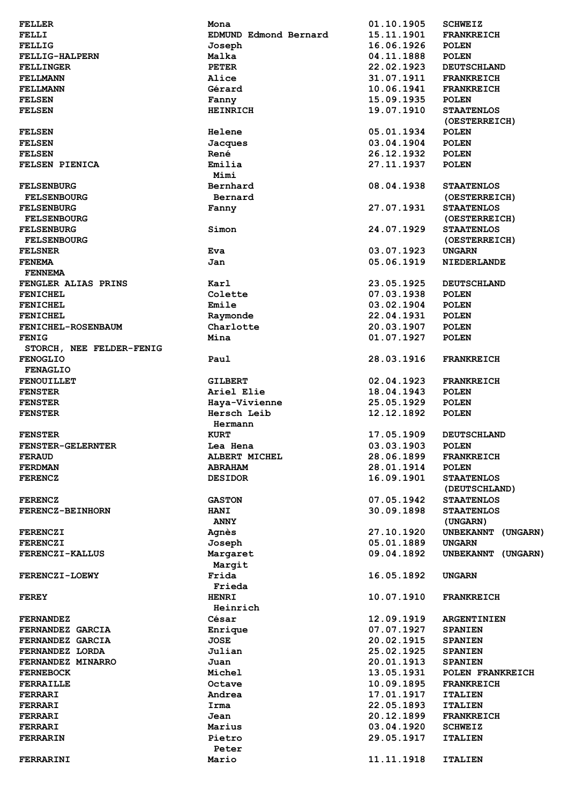| <b>FELLER</b>             | Mona                         | 01.10.1905 | <b>SCHWEIZ</b>                     |
|---------------------------|------------------------------|------------|------------------------------------|
| FELLI                     | <b>EDMUND Edmond Bernard</b> | 15.11.1901 | <b>FRANKREICH</b>                  |
| <b>FELLIG</b>             | Joseph                       | 16.06.1926 | <b>POLEN</b>                       |
| FELLIG-HALPERN            | Malka                        | 04.11.1888 | <b>POLEN</b>                       |
| <b>FELLINGER</b>          | <b>PETER</b>                 | 22.02.1923 | <b>DEUTSCHLAND</b>                 |
| <b>FELLMANN</b>           | Alice                        | 31.07.1911 | <b>FRANKREICH</b>                  |
| <b>FELLMANN</b>           | Gérard                       | 10.06.1941 | <b>FRANKREICH</b>                  |
|                           |                              |            |                                    |
| <b>FELSEN</b>             | Fanny                        | 15.09.1935 | <b>POLEN</b>                       |
| <b>FELSEN</b>             | <b>HEINRICH</b>              | 19.07.1910 | <b>STAATENLOS</b><br>(OESTERREICH) |
| <b>FELSEN</b>             | Helene                       | 05.01.1934 | <b>POLEN</b>                       |
| <b>FELSEN</b>             | Jacques                      | 03.04.1904 | <b>POLEN</b>                       |
| <b>FELSEN</b>             | René                         | 26.12.1932 | <b>POLEN</b>                       |
| FELSEN PIENICA            | Emilia                       | 27.11.1937 | <b>POLEN</b>                       |
|                           | Mimi                         |            |                                    |
| <b>FELSENBURG</b>         | Bernhard                     | 08.04.1938 | <b>STAATENLOS</b>                  |
| <b>FELSENBOURG</b>        | Bernard                      |            | (OESTERREICH)                      |
|                           |                              | 27.07.1931 | <b>STAATENLOS</b>                  |
| <b>FELSENBURG</b>         | Fanny                        |            |                                    |
| <b>FELSENBOURG</b>        |                              |            | (OESTERREICH)                      |
| <b>FELSENBURG</b>         | Simon                        | 24.07.1929 | <b>STAATENLOS</b>                  |
| <b>FELSENBOURG</b>        |                              |            | (OESTERREICH)                      |
| <b>FELSNER</b>            | <b>Eva</b>                   | 03.07.1923 | <b>UNGARN</b>                      |
| <b>FENEMA</b>             | Jan                          | 05.06.1919 | <b>NIEDERLANDE</b>                 |
| <b>FENNEMA</b>            |                              |            |                                    |
| FENGLER ALIAS PRINS       | Karl                         | 23.05.1925 | <b>DEUTSCHLAND</b>                 |
| <b>FENICHEL</b>           | Colette                      | 07.03.1938 | <b>POLEN</b>                       |
| <b>FENICHEL</b>           | Emile                        | 03.02.1904 | <b>POLEN</b>                       |
|                           |                              |            |                                    |
| <b>FENICHEL</b>           | Raymonde                     | 22.04.1931 | <b>POLEN</b>                       |
| <b>FENICHEL-ROSENBAUM</b> | Charlotte                    | 20.03.1907 | <b>POLEN</b>                       |
| <b>FENIG</b>              | Mina                         | 01.07.1927 | <b>POLEN</b>                       |
| STORCH, NEE FELDER-FENIG  |                              |            |                                    |
| <b>FENOGLIO</b>           | Paul                         | 28.03.1916 | <b>FRANKREICH</b>                  |
| <b>FENAGLIO</b>           |                              |            |                                    |
| <b>FENOUILLET</b>         | <b>GILBERT</b>               | 02.04.1923 | <b>FRANKREICH</b>                  |
| <b>FENSTER</b>            | Ariel Elie                   | 18.04.1943 | <b>POLEN</b>                       |
| <b>FENSTER</b>            | Haya-Vivienne                | 25.05.1929 | <b>POLEN</b>                       |
| <b>FENSTER</b>            | Hersch Leib                  | 12.12.1892 | <b>POLEN</b>                       |
|                           | Hermann                      |            |                                    |
|                           | <b>KURT</b>                  | 17.05.1909 | <b>DEUTSCHLAND</b>                 |
| <b>FENSTER</b>            |                              |            |                                    |
| <b>FENSTER-GELERNTER</b>  | Lea Hena                     | 03.03.1903 | <b>POLEN</b>                       |
| <b>FERAUD</b>             | ALBERT MICHEL                | 28.06.1899 | <b>FRANKREICH</b>                  |
| <b>FERDMAN</b>            | <b>ABRAHAM</b>               | 28.01.1914 | <b>POLEN</b>                       |
| <b>FERENCZ</b>            | <b>DESIDOR</b>               | 16.09.1901 | <b>STAATENLOS</b>                  |
|                           |                              |            | (DEUTSCHLAND)                      |
| <b>FERENCZ</b>            | <b>GASTON</b>                | 07.05.1942 | <b>STAATENLOS</b>                  |
| <b>FERENCZ-BEINHORN</b>   | <b>HANI</b>                  | 30.09.1898 | <b>STAATENLOS</b>                  |
|                           | <b>ANNY</b>                  |            | (UNGARN)                           |
| <b>FERENCZI</b>           | <b>Agnès</b>                 | 27.10.1920 | UNBEKANNT (UNGARN)                 |
| <b>FERENCZI</b>           | Joseph                       | 05.01.1889 | <b>UNGARN</b>                      |
|                           | Margaret                     | 09.04.1892 | UNBEKANNT (UNGARN)                 |
| <b>FERENCZI-KALLUS</b>    |                              |            |                                    |
|                           | Margit                       |            |                                    |
| <b>FERENCZI-LOEWY</b>     | Frida                        | 16.05.1892 | <b>UNGARN</b>                      |
|                           | Frieda                       |            |                                    |
| <b>FEREY</b>              | <b>HENRI</b>                 | 10.07.1910 | <b>FRANKREICH</b>                  |
|                           | Heinrich                     |            |                                    |
| <b>FERNANDEZ</b>          | César                        | 12.09.1919 | <b>ARGENTINIEN</b>                 |
| FERNANDEZ GARCIA          | Enrique                      | 07.07.1927 | <b>SPANIEN</b>                     |
| FERNANDEZ GARCIA          | <b>JOSE</b>                  | 20.02.1915 | <b>SPANIEN</b>                     |
| FERNANDEZ LORDA           | Julian                       | 25.02.1925 | <b>SPANIEN</b>                     |
| FERNANDEZ MINARRO         | Juan                         | 20.01.1913 | <b>SPANIEN</b>                     |
| <b>FERNEBOCK</b>          | Michel                       | 13.05.1931 | POLEN FRANKREICH                   |
|                           | Octave                       | 10.09.1895 |                                    |
| FERRAILLE                 |                              |            | <b>FRANKREICH</b>                  |
| FERRARI                   | Andrea                       | 17.01.1917 | <b>ITALIEN</b>                     |
| FERRARI                   | Irma                         | 22.05.1893 | <b>ITALIEN</b>                     |
| FERRARI                   | Jean                         | 20.12.1899 | <b>FRANKREICH</b>                  |
| <b>FERRARI</b>            | Marius                       | 03.04.1920 | <b>SCHWEIZ</b>                     |
| FERRARIN                  | Pietro                       | 29.05.1917 | <b>ITALIEN</b>                     |
|                           |                              |            |                                    |
|                           | Peter                        |            |                                    |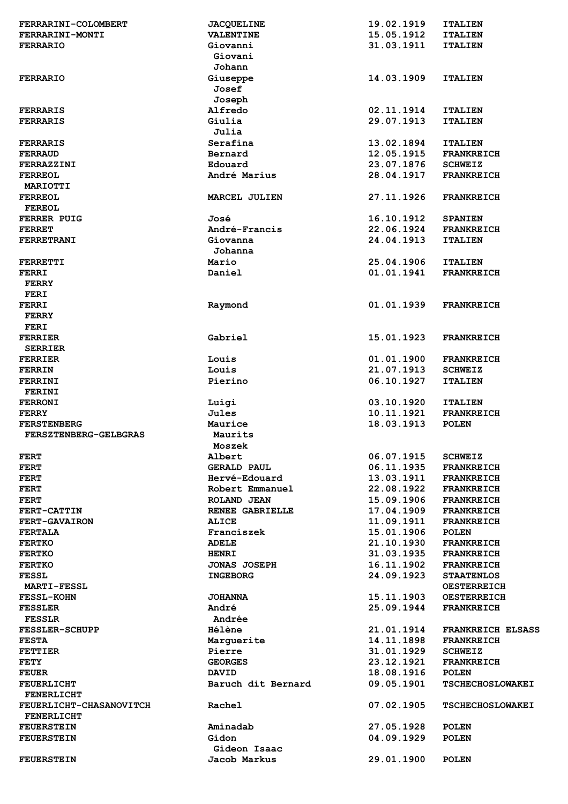| FERRARINI-COLOMBERT     | <b>JACQUELINE</b>   | 19.02.1919 | <b>ITALIEN</b>           |
|-------------------------|---------------------|------------|--------------------------|
| FERRARINI-MONTI         | <b>VALENTINE</b>    | 15.05.1912 | <b>ITALIEN</b>           |
| <b>FERRARIO</b>         | Giovanni            | 31.03.1911 | <b>ITALIEN</b>           |
|                         | Giovani             |            |                          |
|                         | Johann              |            |                          |
|                         |                     |            |                          |
| <b>FERRARIO</b>         | Giuseppe            | 14.03.1909 | <b>ITALIEN</b>           |
|                         | Josef               |            |                          |
|                         | Joseph              |            |                          |
| <b>FERRARIS</b>         | Alfredo             | 02.11.1914 | <b>ITALIEN</b>           |
|                         |                     |            |                          |
| <b>FERRARIS</b>         | Giulia              | 29.07.1913 | <b>ITALIEN</b>           |
|                         | Julia               |            |                          |
| <b>FERRARIS</b>         | Serafina            | 13.02.1894 | <b>ITALIEN</b>           |
| <b>FERRAUD</b>          | Bernard             | 12.05.1915 | <b>FRANKREICH</b>        |
|                         |                     |            |                          |
| FERRAZZINI              | Edouard             | 23.07.1876 | <b>SCHWEIZ</b>           |
| <b>FERREOL</b>          | André Marius        | 28.04.1917 | <b>FRANKREICH</b>        |
| MARIOTTI                |                     |            |                          |
| <b>FERREOL</b>          | MARCEL JULIEN       | 27.11.1926 | <b>FRANKREICH</b>        |
| <b>FEREOL</b>           |                     |            |                          |
|                         |                     |            |                          |
| <b>FERRER PUIG</b>      | José                | 16.10.1912 | <b>SPANIEN</b>           |
| <b>FERRET</b>           | André-Francis       | 22.06.1924 | <b>FRANKREICH</b>        |
| <b>FERRETRANI</b>       | Giovanna            | 24.04.1913 | <b>ITALIEN</b>           |
|                         | Johanna             |            |                          |
|                         |                     |            |                          |
| <b>FERRETTI</b>         | Mario               | 25.04.1906 | <b>ITALIEN</b>           |
| <b>FERRI</b>            | Daniel              | 01.01.1941 | <b>FRANKREICH</b>        |
| <b>FERRY</b>            |                     |            |                          |
| <b>FERI</b>             |                     |            |                          |
| <b>FERRI</b>            |                     | 01.01.1939 | <b>FRANKREICH</b>        |
|                         | Raymond             |            |                          |
| <b>FERRY</b>            |                     |            |                          |
| <b>FERI</b>             |                     |            |                          |
| FERRIER                 | Gabriel             | 15.01.1923 | <b>FRANKREICH</b>        |
| <b>SERRIER</b>          |                     |            |                          |
|                         |                     |            |                          |
| <b>FERRIER</b>          | Louis               | 01.01.1900 | <b>FRANKREICH</b>        |
| <b>FERRIN</b>           | Louis               | 21.07.1913 | <b>SCHWEIZ</b>           |
| FERRINI                 | Pierino             | 06.10.1927 | <b>ITALIEN</b>           |
| FERINI                  |                     |            |                          |
|                         |                     |            |                          |
| <b>FERRONI</b>          | Luigi               | 03.10.1920 | <b>ITALIEN</b>           |
| <b>FERRY</b>            | Jules               | 10.11.1921 | <b>FRANKREICH</b>        |
| <b>FERSTENBERG</b>      | Maurice             | 18.03.1913 | <b>POLEN</b>             |
| FERSZTENBERG-GELBGRAS   | Maurits             |            |                          |
|                         | Moszek              |            |                          |
|                         |                     |            |                          |
| <b>FERT</b>             | Albert              | 06.07.1915 | <b>SCHWEIZ</b>           |
| <b>FERT</b>             | <b>GERALD PAUL</b>  | 06.11.1935 | <b>FRANKREICH</b>        |
| <b>FERT</b>             | Hervé-Edouard       | 13.03.1911 | <b>FRANKREICH</b>        |
| <b>FERT</b>             | Robert Emmanuel     | 22.08.1922 | <b>FRANKREICH</b>        |
|                         |                     |            |                          |
| <b>FERT</b>             | ROLAND JEAN         | 15.09.1906 | <b>FRANKREICH</b>        |
| <b>FERT-CATTIN</b>      | RENEE GABRIELLE     | 17.04.1909 | <b>FRANKREICH</b>        |
| <b>FERT-GAVAIRON</b>    | <b>ALICE</b>        | 11.09.1911 | <b>FRANKREICH</b>        |
| <b>FERTALA</b>          | Franciszek          | 15.01.1906 | <b>POLEN</b>             |
|                         |                     |            |                          |
| <b>FERTKO</b>           | <b>ADELE</b>        | 21.10.1930 | <b>FRANKREICH</b>        |
| <b>FERTKO</b>           | <b>HENRI</b>        | 31.03.1935 | <b>FRANKREICH</b>        |
| <b>FERTKO</b>           | <b>JONAS JOSEPH</b> | 16.11.1902 | <b>FRANKREICH</b>        |
| <b>FESSL</b>            | <b>INGEBORG</b>     | 24.09.1923 | <b>STAATENLOS</b>        |
| <b>MARTI-FESSL</b>      |                     |            | <b>OESTERREICH</b>       |
|                         |                     |            |                          |
| <b>FESSL-KOHN</b>       | <b>JOHANNA</b>      | 15.11.1903 | <b>OESTERREICH</b>       |
| <b>FESSLER</b>          | André               | 25.09.1944 | <b>FRANKREICH</b>        |
| <b>FESSLR</b>           | Andrée              |            |                          |
| <b>FESSLER-SCHUPP</b>   | <b>Hélène</b>       | 21.01.1914 | <b>FRANKREICH ELSASS</b> |
|                         |                     |            |                          |
| <b>FESTA</b>            | Marguerite          | 14.11.1898 | <b>FRANKREICH</b>        |
| <b>FETTIER</b>          | Pierre              | 31.01.1929 | <b>SCHWEIZ</b>           |
| <b>FETY</b>             | <b>GEORGES</b>      | 23.12.1921 | <b>FRANKREICH</b>        |
| <b>FEUER</b>            | <b>DAVID</b>        | 18.08.1916 | <b>POLEN</b>             |
|                         | Baruch dit Bernard  | 09.05.1901 |                          |
| <b>FEUERLICHT</b>       |                     |            | <b>TSCHECHOSLOWAKEI</b>  |
| <b>FENERLICHT</b>       |                     |            |                          |
| FEUERLICHT-CHASANOVITCH | Rachel              | 07.02.1905 | <b>TSCHECHOSLOWAKEI</b>  |
| <b>FENERLICHT</b>       |                     |            |                          |
| <b>FEUERSTEIN</b>       | Aminadab            | 27.05.1928 | <b>POLEN</b>             |
|                         |                     |            |                          |
| <b>FEUERSTEIN</b>       | Gidon               | 04.09.1929 | <b>POLEN</b>             |
|                         | Gideon Isaac        |            |                          |
|                         | Jacob Markus        | 29.01.1900 | <b>POLEN</b>             |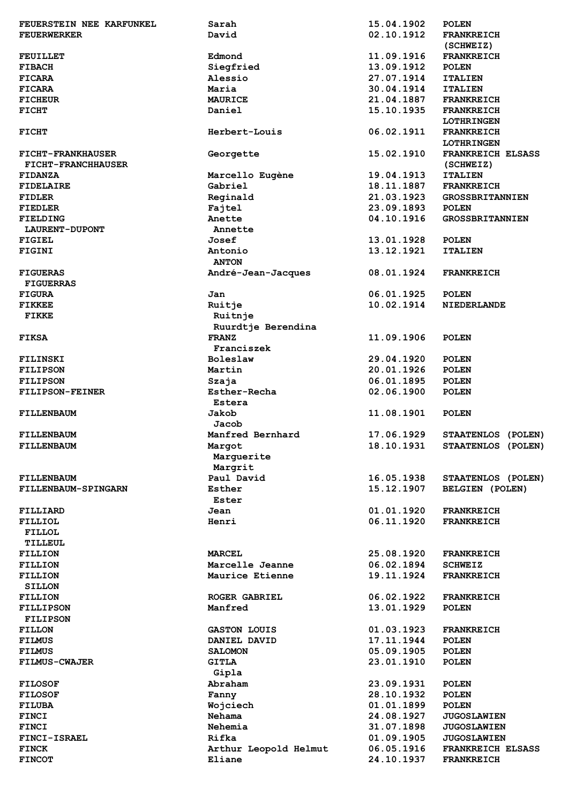| FEUERSTEIN NEE KARFUNKEL  | Sarah                           | 15.04.1902 | <b>POLEN</b>             |
|---------------------------|---------------------------------|------------|--------------------------|
| <b>FEUERWERKER</b>        | David                           | 02.10.1912 | <b>FRANKREICH</b>        |
|                           |                                 |            | (SCHWEIZ)                |
|                           |                                 |            |                          |
| <b>FEUILLET</b>           | Edmond                          | 11.09.1916 | <b>FRANKREICH</b>        |
| <b>FIBACH</b>             | Siegfried                       | 13.09.1912 | <b>POLEN</b>             |
| <b>FICARA</b>             | Alessio                         | 27.07.1914 | <b>ITALIEN</b>           |
| <b>FICARA</b>             | Maria                           | 30.04.1914 | <b>ITALIEN</b>           |
| <b>FICHEUR</b>            | <b>MAURICE</b>                  | 21.04.1887 | <b>FRANKREICH</b>        |
| <b>FICHT</b>              | Daniel                          | 15.10.1935 | <b>FRANKREICH</b>        |
|                           |                                 |            |                          |
|                           |                                 |            | <b>LOTHRINGEN</b>        |
| <b>FICHT</b>              | Herbert-Louis                   | 06.02.1911 | <b>FRANKREICH</b>        |
|                           |                                 |            | <b>LOTHRINGEN</b>        |
| <b>FICHT-FRANKHAUSER</b>  | Georgette                       | 15.02.1910 | <b>FRANKREICH ELSASS</b> |
| <b>FICHT-FRANCHHAUSER</b> |                                 |            | (SCHWEIZ)                |
| <b>FIDANZA</b>            | Marcello Eugène                 | 19.04.1913 | <b>ITALIEN</b>           |
| <b>FIDELAIRE</b>          | Gabriel                         | 18.11.1887 | <b>FRANKREICH</b>        |
|                           |                                 | 21.03.1923 |                          |
| <b>FIDLER</b>             | Reginald                        |            | <b>GROSSBRITANNIEN</b>   |
| <b>FIEDLER</b>            | Fajtel                          | 23.09.1893 | <b>POLEN</b>             |
| <b>FIELDING</b>           | Anette                          | 04.10.1916 | <b>GROSSBRITANNIEN</b>   |
| LAURENT-DUPONT            | Annette                         |            |                          |
| <b>FIGIEL</b>             | Josef                           | 13.01.1928 | <b>POLEN</b>             |
| <b>FIGINI</b>             | Antonio                         | 13.12.1921 | <b>ITALIEN</b>           |
|                           | <b>ANTON</b>                    |            |                          |
| <b>FIGUERAS</b>           | André-Jean-Jacques              | 08.01.1924 | <b>FRANKREICH</b>        |
|                           |                                 |            |                          |
| <b>FIGUERRAS</b>          |                                 |            |                          |
| <b>FIGURA</b>             | Jan                             | 06.01.1925 | <b>POLEN</b>             |
| <b>FIKKEE</b>             | Ruitje                          | 10.02.1914 | <b>NIEDERLANDE</b>       |
| FIKKE                     | Ruitnje                         |            |                          |
|                           | Ruurdtje Berendina              |            |                          |
| <b>FIKSA</b>              | <b>FRANZ</b>                    | 11.09.1906 | <b>POLEN</b>             |
|                           | Franciszek                      |            |                          |
| <b>FILINSKI</b>           | <b>Boleslaw</b>                 | 29.04.1920 | <b>POLEN</b>             |
| <b>FILIPSON</b>           | Martin                          | 20.01.1926 | <b>POLEN</b>             |
|                           |                                 |            |                          |
| <b>FILIPSON</b>           | Szaja                           | 06.01.1895 | <b>POLEN</b>             |
| <b>FILIPSON-FEINER</b>    | Esther-Recha                    | 02.06.1900 | <b>POLEN</b>             |
|                           | Estera                          |            |                          |
| <b>FILLENBAUM</b>         | Jakob                           | 11.08.1901 | <b>POLEN</b>             |
|                           | Jacob                           |            |                          |
| <b>FILLENBAUM</b>         | Manfred Bernhard                | 17.06.1929 | STAATENLOS (POLEN)       |
| <b>FILLENBAUM</b>         | Marqot                          | 18.10.1931 | STAATENLOS (POLEN)       |
|                           | Marquerite                      |            |                          |
|                           |                                 |            |                          |
|                           | Margrit                         |            |                          |
| <b>FILLENBAUM</b>         | Paul David                      | 16.05.1938 | STAATENLOS (POLEN)       |
| FILLENBAUM-SPINGARN       | Esther                          | 15.12.1907 | BELGIEN (POLEN)          |
|                           | Ester                           |            |                          |
| FILLIARD                  | Jean                            | 01.01.1920 | <b>FRANKREICH</b>        |
| FILLIOL                   | Henri                           | 06.11.1920 | <b>FRANKREICH</b>        |
| <b>FILLOL</b>             |                                 |            |                          |
| TILLEUL                   |                                 |            |                          |
| <b>FILLION</b>            | <b>MARCEL</b>                   | 25.08.1920 | <b>FRANKREICH</b>        |
| <b>FILLION</b>            | Marcelle Jeanne                 | 06.02.1894 | <b>SCHWEIZ</b>           |
|                           |                                 |            |                          |
| <b>FILLION</b>            | Maurice Etienne                 | 19.11.1924 | <b>FRANKREICH</b>        |
| <b>SILLON</b>             |                                 |            |                          |
| <b>FILLION</b>            | ROGER GABRIEL                   | 06.02.1922 | <b>FRANKREICH</b>        |
| <b>FILLIPSON</b>          | Manfred                         | 13.01.1929 | <b>POLEN</b>             |
| <b>FILIPSON</b>           |                                 |            |                          |
| <b>FILLON</b>             | <b>GASTON LOUIS</b>             | 01.03.1923 | <b>FRANKREICH</b>        |
| <b>FILMUS</b>             | DANIEL DAVID                    | 17.11.1944 | <b>POLEN</b>             |
| <b>FILMUS</b>             | <b>SALOMON</b>                  | 05.09.1905 | <b>POLEN</b>             |
| <b>FILMUS-CWAJER</b>      | <b>GITLA</b>                    | 23.01.1910 | <b>POLEN</b>             |
|                           |                                 |            |                          |
|                           | Gipla                           | 23.09.1931 |                          |
| <b>FILOSOF</b>            |                                 |            | <b>POLEN</b>             |
|                           | Abraham                         |            |                          |
| <b>FILOSOF</b>            | Fanny                           | 28.10.1932 | <b>POLEN</b>             |
| <b>FILUBA</b>             | Wojciech                        | 01.01.1899 | <b>POLEN</b>             |
| <b>FINCI</b>              | Nehama                          | 24.08.1927 | <b>JUGOSLAWIEN</b>       |
| <b>FINCI</b>              | Nehemia                         | 31.07.1898 | <b>JUGOSLAWIEN</b>       |
| FINCI-ISRAEL              | Rifka                           | 01.09.1905 | <b>JUGOSLAWIEN</b>       |
| <b>FINCK</b>              |                                 | 06.05.1916 | <b>FRANKREICH ELSASS</b> |
| <b>FINCOT</b>             | Arthur Leopold Helmut<br>Eliane | 24.10.1937 | <b>FRANKREICH</b>        |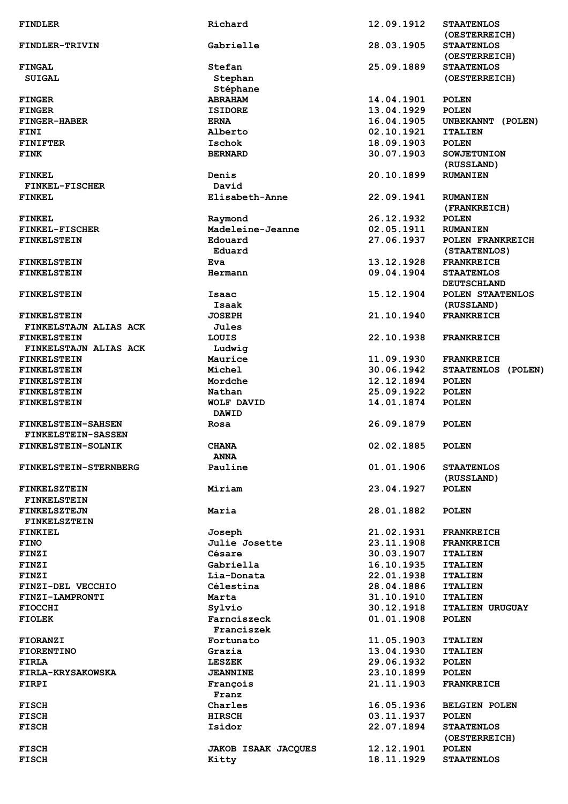| <b>FINDLER</b>                    | Richard                             | 12.09.1912               | <b>STAATENLOS</b>                  |
|-----------------------------------|-------------------------------------|--------------------------|------------------------------------|
| FINDLER-TRIVIN                    | Gabrielle                           | 28.03.1905               | (OESTERREICH)<br><b>STAATENLOS</b> |
|                                   |                                     |                          | (OESTERREICH)                      |
| <b>FINGAL</b>                     | Stefan                              | 25.09.1889               | <b>STAATENLOS</b>                  |
| <b>SUIGAL</b>                     | Stephan                             |                          | (OESTERREICH)                      |
|                                   | Stéphane                            |                          |                                    |
| <b>FINGER</b>                     | <b>ABRAHAM</b>                      | 14.04.1901               | <b>POLEN</b>                       |
| <b>FINGER</b>                     | <b>ISIDORE</b>                      | 13.04.1929               | <b>POLEN</b>                       |
| <b>FINGER-HABER</b>               | <b>ERNA</b>                         | 16.04.1905               | UNBEKANNT (POLEN)                  |
| FINI                              | Alberto                             | 02.10.1921               | <b>ITALIEN</b>                     |
| <b>FINIFTER</b>                   | Ischok                              | 18.09.1903               | <b>POLEN</b>                       |
| <b>FINK</b>                       | <b>BERNARD</b>                      | 30.07.1903               | <b>SOWJETUNION</b>                 |
|                                   |                                     |                          | (RUSSLAND)                         |
| <b>FINKEL</b>                     | Denis                               | 20.10.1899               | <b>RUMANIEN</b>                    |
| <b>FINKEL-FISCHER</b>             | David                               |                          |                                    |
| <b>FINKEL</b>                     | Elisabeth-Anne                      | 22.09.1941               | <b>RUMANIEN</b>                    |
|                                   |                                     |                          | (FRANKREICH)                       |
| <b>FINKEL</b>                     | Raymond                             | 26.12.1932               | <b>POLEN</b>                       |
| FINKEL-FISCHER                    | Madeleine-Jeanne                    | 02.05.1911               | <b>RUMANIEN</b>                    |
| <b>FINKELSTEIN</b>                | Edouard                             | 27.06.1937               | POLEN FRANKREICH                   |
|                                   | Eduard                              |                          | (STAATENLOS)                       |
| <b>FINKELSTEIN</b>                | Eva                                 | 13.12.1928               | <b>FRANKREICH</b>                  |
| <b>FINKELSTEIN</b>                | Hermann                             | 09.04.1904               | <b>STAATENLOS</b>                  |
|                                   |                                     |                          | <b>DEUTSCHLAND</b>                 |
| <b>FINKELSTEIN</b>                | Isaac                               | 15.12.1904               | POLEN STAATENLOS                   |
|                                   | Isaak                               |                          | (RUSSLAND)                         |
| <b>FINKELSTEIN</b>                | <b>JOSEPH</b>                       | 21.10.1940               | <b>FRANKREICH</b>                  |
| FINKELSTAJN ALIAS ACK             | Jules                               |                          |                                    |
| <b>FINKELSTEIN</b>                | LOUIS                               | 22.10.1938               | <b>FRANKREICH</b>                  |
| FINKELSTAJN ALIAS ACK             | Ludwig                              |                          |                                    |
| <b>FINKELSTEIN</b>                | Maurice                             | 11.09.1930               | <b>FRANKREICH</b>                  |
| <b>FINKELSTEIN</b>                | Michel                              | 30.06.1942               | STAATENLOS (POLEN)                 |
| <b>FINKELSTEIN</b>                | Mordche                             | 12.12.1894               | <b>POLEN</b>                       |
| <b>FINKELSTEIN</b>                | Nathan                              | 25.09.1922               | <b>POLEN</b>                       |
| <b>FINKELSTEIN</b>                | <b>WOLF DAVID</b><br><b>DAWID</b>   | 14.01.1874               | <b>POLEN</b>                       |
| <b>FINKELSTEIN-SAHSEN</b>         | Rosa                                | 26.09.1879               | <b>POLEN</b>                       |
| <b>FINKELSTEIN-SASSEN</b>         |                                     |                          |                                    |
| FINKELSTEIN-SOLNIK                | <b>CHANA</b>                        | 02.02.1885               | <b>POLEN</b>                       |
|                                   | <b>ANNA</b>                         |                          |                                    |
| FINKELSTEIN-STERNBERG             | Pauline                             | 01.01.1906               | <b>STAATENLOS</b>                  |
|                                   |                                     |                          | (RUSSLAND)                         |
| <b>FINKELSZTEIN</b>               | Miriam                              | 23.04.1927               | <b>POLEN</b>                       |
| <b>FINKELSTEIN</b>                |                                     |                          |                                    |
| <b>FINKELSZTEJN</b>               | Maria                               | 28.01.1882               | <b>POLEN</b>                       |
| <b>FINKELSZTEIN</b>               |                                     |                          |                                    |
| <b>FINKIEL</b>                    | Joseph                              | 21.02.1931               | <b>FRANKREICH</b>                  |
| <b>FINO</b>                       | Julie Josette                       | 23.11.1908               | <b>FRANKREICH</b>                  |
| <b>FINZI</b>                      | Césare                              | 30.03.1907               | <b>ITALIEN</b>                     |
| <b>FINZI</b>                      | Gabriella                           | 16.10.1935               | <b>ITALIEN</b>                     |
| <b>FINZI</b>                      | Lia-Donata                          | 22.01.1938               | <b>ITALIEN</b>                     |
| FINZI-DEL VECCHIO                 | Célestina                           | 28.04.1886               | <b>ITALIEN</b>                     |
| FINZI-LAMPRONTI                   | Marta                               | 31.10.1910               | <b>ITALIEN</b>                     |
| <b>FIOCCHI</b>                    |                                     |                          |                                    |
|                                   |                                     |                          |                                    |
|                                   | Sylvio                              | 30.12.1918               | <b>ITALIEN URUGUAY</b>             |
| <b>FIOLEK</b>                     | Farnciszeck                         | 01.01.1908               | <b>POLEN</b>                       |
|                                   | Franciszek                          |                          |                                    |
| <b>FIORANZI</b>                   | Fortunato                           | 11.05.1903               | <b>ITALIEN</b>                     |
| <b>FIORENTINO</b>                 | Grazia                              | 13.04.1930               | <b>ITALIEN</b>                     |
| FIRLA<br><b>FIRLA-KRYSAKOWSKA</b> | LESZEK<br><b>JEANNINE</b>           | 29.06.1932<br>23.10.1899 | <b>POLEN</b><br><b>POLEN</b>       |
| FIRPI                             |                                     | 21.11.1903               | <b>FRANKREICH</b>                  |
|                                   | François                            |                          |                                    |
|                                   | Franz                               |                          |                                    |
| <b>FISCH</b>                      | Charles                             | 16.05.1936               | <b>BELGIEN POLEN</b>               |
| <b>FISCH</b>                      | <b>HIRSCH</b>                       | 03.11.1937               | <b>POLEN</b>                       |
| <b>FISCH</b>                      | Isidor                              | 22.07.1894               | <b>STAATENLOS</b><br>(OESTERREICH) |
| <b>FISCH</b><br><b>FISCH</b>      | <b>JAKOB ISAAK JACQUES</b><br>Kitty | 12.12.1901<br>18.11.1929 | <b>POLEN</b><br><b>STAATENLOS</b>  |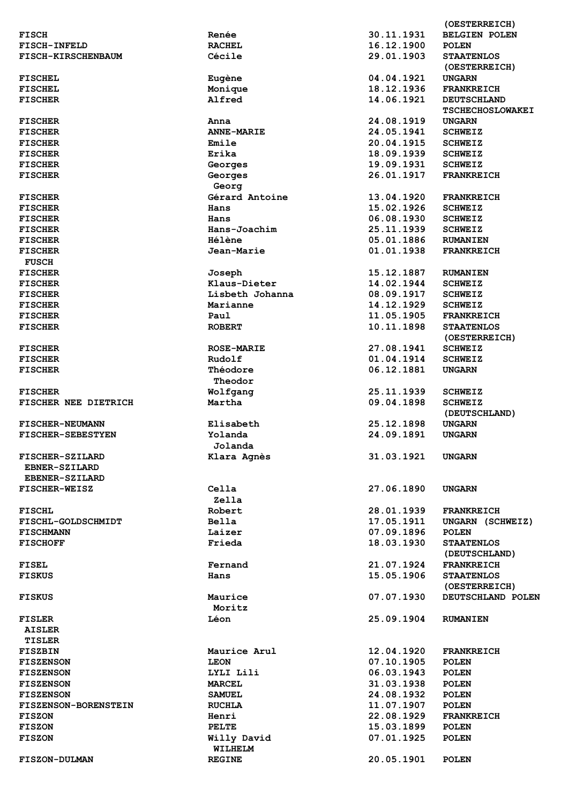|                             |                   |            | (OESTERREICH)           |
|-----------------------------|-------------------|------------|-------------------------|
| <b>FISCH</b>                | Renée             | 30.11.1931 | <b>BELGIEN POLEN</b>    |
| <b>FISCH-INFELD</b>         | <b>RACHEL</b>     | 16.12.1900 | <b>POLEN</b>            |
| <b>FISCH-KIRSCHENBAUM</b>   | Cécile            | 29.01.1903 | <b>STAATENLOS</b>       |
|                             |                   |            | (OESTERREICH)           |
|                             |                   |            |                         |
| <b>FISCHEL</b>              | Eugène            | 04.04.1921 | <b>UNGARN</b>           |
| <b>FISCHEL</b>              | Monique           | 18.12.1936 | <b>FRANKREICH</b>       |
| <b>FISCHER</b>              | Alfred            | 14.06.1921 | <b>DEUTSCHLAND</b>      |
|                             |                   |            | <b>TSCHECHOSLOWAKEI</b> |
| <b>FISCHER</b>              | Anna              | 24.08.1919 | <b>UNGARN</b>           |
| <b>FISCHER</b>              | <b>ANNE-MARIE</b> | 24.05.1941 | <b>SCHWEIZ</b>          |
| <b>FISCHER</b>              | Emile             | 20.04.1915 | <b>SCHWEIZ</b>          |
| <b>FISCHER</b>              | Erika             | 18.09.1939 | <b>SCHWEIZ</b>          |
|                             |                   |            |                         |
| <b>FISCHER</b>              | Georges           | 19.09.1931 | <b>SCHWEIZ</b>          |
| <b>FISCHER</b>              | Georges           | 26.01.1917 | <b>FRANKREICH</b>       |
|                             | Georg             |            |                         |
| <b>FISCHER</b>              | Gérard Antoine    | 13.04.1920 | <b>FRANKREICH</b>       |
| <b>FISCHER</b>              | Hans              | 15.02.1926 | <b>SCHWEIZ</b>          |
| <b>FISCHER</b>              | Hans              | 06.08.1930 | <b>SCHWEIZ</b>          |
| <b>FISCHER</b>              | Hans-Joachim      | 25.11.1939 | <b>SCHWEIZ</b>          |
|                             | Hélène            |            |                         |
| <b>FISCHER</b>              |                   | 05.01.1886 | <b>RUMANIEN</b>         |
| <b>FISCHER</b>              | Jean-Marie        | 01.01.1938 | <b>FRANKREICH</b>       |
| <b>FUSCH</b>                |                   |            |                         |
| <b>FISCHER</b>              | Joseph            | 15.12.1887 | <b>RUMANIEN</b>         |
| <b>FISCHER</b>              | Klaus-Dieter      | 14.02.1944 | <b>SCHWEIZ</b>          |
| <b>FISCHER</b>              | Lisbeth Johanna   | 08.09.1917 | <b>SCHWEIZ</b>          |
| <b>FISCHER</b>              | Marianne          | 14.12.1929 | <b>SCHWEIZ</b>          |
|                             |                   |            |                         |
| <b>FISCHER</b>              | Paul              | 11.05.1905 | <b>FRANKREICH</b>       |
| <b>FISCHER</b>              | <b>ROBERT</b>     | 10.11.1898 | <b>STAATENLOS</b>       |
|                             |                   |            | (OESTERREICH)           |
| <b>FISCHER</b>              | <b>ROSE-MARIE</b> | 27.08.1941 | <b>SCHWEIZ</b>          |
| <b>FISCHER</b>              | Rudolf            | 01.04.1914 | <b>SCHWEIZ</b>          |
| <b>FISCHER</b>              | Théodore          | 06.12.1881 | <b>UNGARN</b>           |
|                             | Theodor           |            |                         |
| <b>FISCHER</b>              | Wolfgang          | 25.11.1939 | <b>SCHWEIZ</b>          |
|                             |                   |            |                         |
| FISCHER NEE DIETRICH        | Martha            | 09.04.1898 | <b>SCHWEIZ</b>          |
|                             |                   |            | (DEUTSCHLAND)           |
| <b>FISCHER-NEUMANN</b>      | Elisabeth         | 25.12.1898 | <b>UNGARN</b>           |
| <b>FISCHER-SEBESTYEN</b>    | Yolanda           | 24.09.1891 | <b>UNGARN</b>           |
|                             | Jolanda           |            |                         |
| FISCHER-SZILARD             | Klara Agnès       | 31.03.1921 | <b>UNGARN</b>           |
| EBNER-SZILARD               |                   |            |                         |
|                             |                   |            |                         |
| <b>EBENER-SZILARD</b>       |                   |            |                         |
| <b>FISCHER-WEISZ</b>        | Cella             | 27.06.1890 | <b>UNGARN</b>           |
|                             | Zella             |            |                         |
| <b>FISCHL</b>               | Robert            | 28.01.1939 | <b>FRANKREICH</b>       |
| <b>FISCHL-GOLDSCHMIDT</b>   | <b>Bella</b>      | 17.05.1911 | UNGARN (SCHWEIZ)        |
| <b>FISCHMANN</b>            | Laizer            | 07.09.1896 | <b>POLEN</b>            |
| <b>FISCHOFF</b>             | Frieda            | 18.03.1930 | <b>STAATENLOS</b>       |
|                             |                   |            |                         |
|                             |                   |            | (DEUTSCHLAND)           |
| <b>FISEL</b>                | Fernand           | 21.07.1924 | <b>FRANKREICH</b>       |
| <b>FISKUS</b>               | Hans              | 15.05.1906 | <b>STAATENLOS</b>       |
|                             |                   |            | (OESTERREICH)           |
| <b>FISKUS</b>               | Maurice           | 07.07.1930 | DEUTSCHLAND POLEN       |
|                             | Moritz            |            |                         |
| <b>FISLER</b>               | Léon              | 25.09.1904 | <b>RUMANIEN</b>         |
|                             |                   |            |                         |
| <b>AISLER</b>               |                   |            |                         |
| <b>TISLER</b>               |                   |            |                         |
| <b>FISZBIN</b>              | Maurice Arul      | 12.04.1920 | <b>FRANKREICH</b>       |
| <b>FISZENSON</b>            | <b>LEON</b>       | 07.10.1905 | <b>POLEN</b>            |
| <b>FISZENSON</b>            | LYLI Lili         | 06.03.1943 | <b>POLEN</b>            |
| <b>FISZENSON</b>            | <b>MARCEL</b>     | 31.03.1938 | <b>POLEN</b>            |
|                             |                   |            |                         |
| <b>FISZENSON</b>            | <b>SAMUEL</b>     | 24.08.1932 | <b>POLEN</b>            |
| <b>FISZENSON-BORENSTEIN</b> | <b>RUCHLA</b>     | 11.07.1907 | <b>POLEN</b>            |
| <b>FISZON</b>               | Henri             | 22.08.1929 | <b>FRANKREICH</b>       |
| <b>FISZON</b>               | PELTE             | 15.03.1899 | <b>POLEN</b>            |
| <b>FISZON</b>               | Willy David       | 07.01.1925 | <b>POLEN</b>            |
|                             | WILHELM           |            |                         |
| <b>FISZON-DULMAN</b>        | <b>REGINE</b>     | 20.05.1901 | <b>POLEN</b>            |
|                             |                   |            |                         |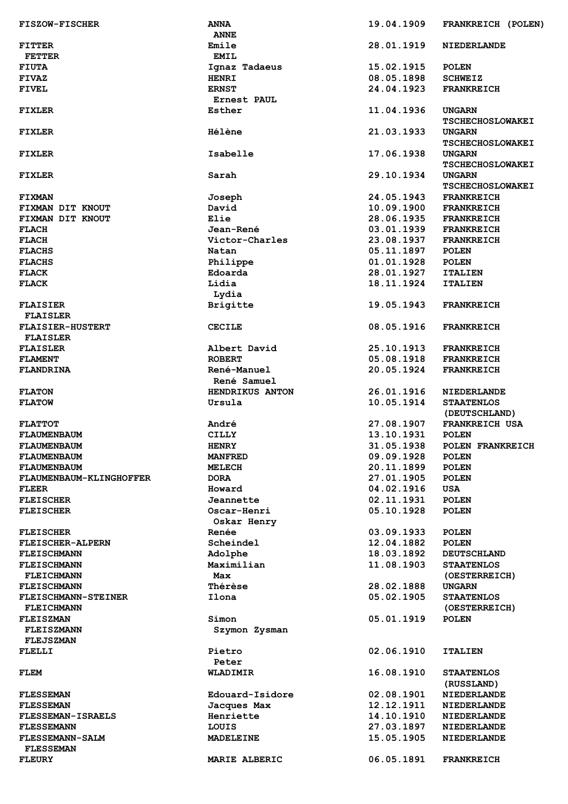| <b>FISZOW-FISCHER</b>                      | <b>ANNA</b><br><b>ANNE</b> | 19.04.1909 | FRANKREICH (POLEN)                       |
|--------------------------------------------|----------------------------|------------|------------------------------------------|
| <b>FITTER</b>                              | Emile                      | 28.01.1919 | <b>NIEDERLANDE</b>                       |
| <b>FETTER</b>                              | <b>EMIL</b>                |            |                                          |
| <b>FIUTA</b>                               | Ignaz Tadaeus              | 15.02.1915 |                                          |
|                                            |                            |            | <b>POLEN</b>                             |
| <b>FIVAZ</b>                               | <b>HENRI</b>               | 08.05.1898 | <b>SCHWEIZ</b>                           |
| <b>FIVEL</b>                               | <b>ERNST</b>               | 24.04.1923 | <b>FRANKREICH</b>                        |
|                                            | Ernest PAUL                |            |                                          |
| <b>FIXLER</b>                              | Esther                     | 11.04.1936 | <b>UNGARN</b><br><b>TSCHECHOSLOWAKEI</b> |
| <b>FIXLER</b>                              | <b>Hélène</b>              | 21.03.1933 | <b>UNGARN</b><br><b>TSCHECHOSLOWAKEI</b> |
| <b>FIXLER</b>                              | Isabelle                   | 17.06.1938 | <b>UNGARN</b><br><b>TSCHECHOSLOWAKEI</b> |
| <b>FIXLER</b>                              | Sarah                      | 29.10.1934 | <b>UNGARN</b><br><b>TSCHECHOSLOWAKEI</b> |
| <b>FIXMAN</b>                              | Joseph                     | 24.05.1943 | <b>FRANKREICH</b>                        |
| FIXMAN DIT KNOUT                           | David                      | 10.09.1900 | <b>FRANKREICH</b>                        |
| FIXMAN DIT KNOUT                           | Elie                       | 28.06.1935 | <b>FRANKREICH</b>                        |
|                                            |                            |            |                                          |
| <b>FLACH</b>                               | Jean-René                  | 03.01.1939 | <b>FRANKREICH</b>                        |
| <b>FLACH</b>                               | Victor-Charles             | 23.08.1937 | <b>FRANKREICH</b>                        |
| <b>FLACHS</b>                              | Natan                      | 05.11.1897 | <b>POLEN</b>                             |
| <b>FLACHS</b>                              | Philippe                   | 01.01.1928 | <b>POLEN</b>                             |
| <b>FLACK</b>                               | Edoarda                    | 28.01.1927 | <b>ITALIEN</b>                           |
| <b>FLACK</b>                               | Lidia                      | 18.11.1924 | <b>ITALIEN</b>                           |
|                                            | Lydia                      |            |                                          |
| <b>FLAISIER</b>                            | Brigitte                   | 19.05.1943 | <b>FRANKREICH</b>                        |
| <b>FLAISLER</b><br><b>FLAISIER-HUSTERT</b> | <b>CECILE</b>              | 08.05.1916 | <b>FRANKREICH</b>                        |
| <b>FLAISLER</b>                            |                            |            |                                          |
| <b>FLAISLER</b>                            | Albert David               | 25.10.1913 | <b>FRANKREICH</b>                        |
| <b>FLAMENT</b>                             | <b>ROBERT</b>              | 05.08.1918 | <b>FRANKREICH</b>                        |
| <b>FLANDRINA</b>                           | René-Manuel<br>René Samuel | 20.05.1924 | <b>FRANKREICH</b>                        |
| <b>FLATON</b>                              | HENDRIKUS ANTON            | 26.01.1916 | <b>NIEDERLANDE</b>                       |
| <b>FLATOW</b>                              | Ursula                     | 10.05.1914 | <b>STAATENLOS</b><br>(DEUTSCHLAND)       |
|                                            |                            |            |                                          |
| <b>FLATTOT</b>                             | André                      | 27.08.1907 | <b>FRANKREICH USA</b>                    |
| <b>FLAUMENBAUM</b>                         | <b>CILLY</b>               | 13.10.1931 | <b>POLEN</b>                             |
| <b>FLAUMENBAUM</b>                         | <b>HENRY</b>               | 31.05.1938 | POLEN FRANKREICH                         |
| <b>FLAUMENBAUM</b>                         | <b>MANFRED</b>             | 09.09.1928 | <b>POLEN</b>                             |
| <b>FLAUMENBAUM</b>                         | <b>MELECH</b>              | 20.11.1899 | <b>POLEN</b>                             |
| <b>FLAUMENBAUM-KLINGHOFFER</b>             | <b>DORA</b>                | 27.01.1905 | <b>POLEN</b>                             |
| <b>FLEER</b>                               | Howard                     | 04.02.1916 | USA                                      |
| <b>FLEISCHER</b>                           | Jeannette                  | 02.11.1931 | <b>POLEN</b>                             |
| <b>FLEISCHER</b>                           | Oscar-Henri                | 05.10.1928 | <b>POLEN</b>                             |
|                                            | Oskar Henry                |            |                                          |
| <b>FLEISCHER</b>                           | Renée                      | 03.09.1933 | <b>POLEN</b>                             |
| <b>FLEISCHER-ALPERN</b>                    | Scheindel                  | 12.04.1882 | <b>POLEN</b>                             |
| <b>FLEISCHMANN</b>                         | Adolphe                    | 18.03.1892 | <b>DEUTSCHLAND</b>                       |
| <b>FLEISCHMANN</b>                         | Maximilian                 | 11.08.1903 | <b>STAATENLOS</b>                        |
| <b>FLEICHMANN</b>                          | Max                        |            | (OESTERREICH)                            |
| <b>FLEISCHMANN</b>                         | <b>Thérèse</b>             | 28.02.1888 | <b>UNGARN</b>                            |
| <b>FLEISCHMANN-STEINER</b>                 | Ilona                      | 05.02.1905 | <b>STAATENLOS</b>                        |
| <b>FLEICHMANN</b>                          |                            |            | (OESTERREICH)                            |
| <b>FLEISZMAN</b>                           | Simon                      | 05.01.1919 | <b>POLEN</b>                             |
| <b>FLEISZMANN</b>                          | Szymon Zysman              |            |                                          |
| <b>FLEJSZMAN</b>                           |                            |            |                                          |
| FLELLI                                     | Pietro<br>Peter            | 02.06.1910 | <b>ITALIEN</b>                           |
| <b>FLEM</b>                                | <b>WLADIMIR</b>            | 16.08.1910 | <b>STAATENLOS</b>                        |
|                                            |                            |            | (RUSSLAND)                               |
| <b>FLESSEMAN</b>                           | Edouard-Isidore            | 02.08.1901 | <b>NIEDERLANDE</b>                       |
| <b>FLESSEMAN</b>                           | Jacques Max                | 12.12.1911 | <b>NIEDERLANDE</b>                       |
| <b>FLESSEMAN-ISRAELS</b>                   | Henriette                  | 14.10.1910 | <b>NIEDERLANDE</b>                       |
| <b>FLESSEMANN</b>                          | LOUIS                      | 27.03.1897 | <b>NIEDERLANDE</b>                       |
| <b>FLESSEMANN-SALM</b>                     | <b>MADELEINE</b>           | 15.05.1905 | <b>NIEDERLANDE</b>                       |
| <b>FLESSEMAN</b>                           |                            |            |                                          |
| <b>FLEURY</b>                              | <b>MARIE ALBERIC</b>       | 06.05.1891 | <b>FRANKREICH</b>                        |
|                                            |                            |            |                                          |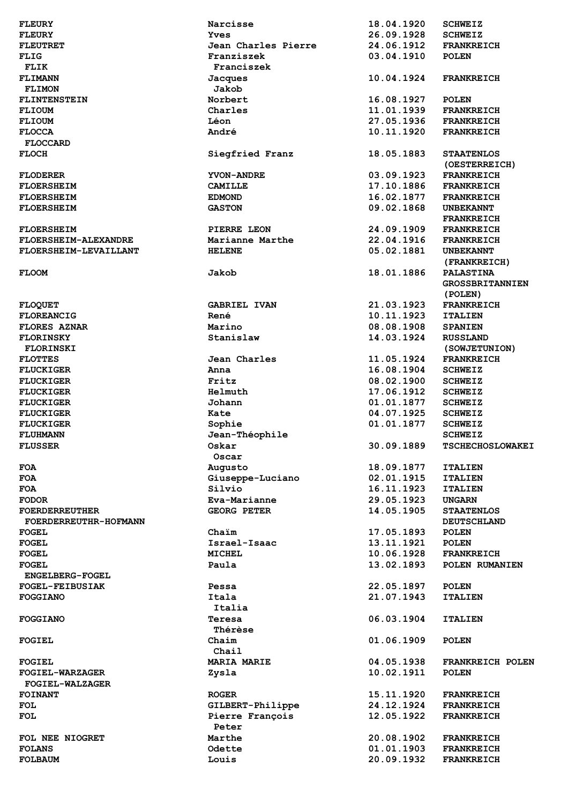| <b>FLEURY</b>          | Narcisse            | 18.04.1920 | <b>SCHWEIZ</b>          |
|------------------------|---------------------|------------|-------------------------|
| <b>FLEURY</b>          | <b>Yves</b>         | 26.09.1928 | <b>SCHWEIZ</b>          |
| <b>FLEUTRET</b>        | Jean Charles Pierre | 24.06.1912 | <b>FRANKREICH</b>       |
| FLIG                   | Franziszek          | 03.04.1910 | <b>POLEN</b>            |
| FLIK                   | Franciszek          |            |                         |
| <b>FLIMANN</b>         | <b>Jacques</b>      | 10.04.1924 | <b>FRANKREICH</b>       |
|                        | Jakob               |            |                         |
| <b>FLIMON</b>          |                     |            |                         |
| <b>FLINTENSTEIN</b>    | Norbert             | 16.08.1927 | <b>POLEN</b>            |
| <b>FLIOUM</b>          | Charles             | 11.01.1939 | <b>FRANKREICH</b>       |
| <b>FLIOUM</b>          | Léon                | 27.05.1936 | <b>FRANKREICH</b>       |
| <b>FLOCCA</b>          | André               | 10.11.1920 | <b>FRANKREICH</b>       |
| <b>FLOCCARD</b>        |                     |            |                         |
| <b>FLOCH</b>           | Siegfried Franz     | 18.05.1883 | <b>STAATENLOS</b>       |
|                        |                     |            | (OESTERREICH)           |
| <b>FLODERER</b>        | <b>YVON-ANDRE</b>   | 03.09.1923 | <b>FRANKREICH</b>       |
| <b>FLOERSHEIM</b>      | <b>CAMILLE</b>      | 17.10.1886 | <b>FRANKREICH</b>       |
| <b>FLOERSHEIM</b>      | <b>EDMOND</b>       | 16.02.1877 | <b>FRANKREICH</b>       |
| <b>FLOERSHEIM</b>      | <b>GASTON</b>       | 09.02.1868 | UNBEKANNT               |
|                        |                     |            | <b>FRANKREICH</b>       |
|                        |                     |            |                         |
| <b>FLOERSHEIM</b>      | PIERRE LEON         | 24.09.1909 | <b>FRANKREICH</b>       |
| FLOERSHEIM-ALEXANDRE   | Marianne Marthe     | 22.04.1916 | <b>FRANKREICH</b>       |
| FLOERSHEIM-LEVAILLANT  | <b>HELENE</b>       | 05.02.1881 | <b>UNBEKANNT</b>        |
|                        |                     |            | (FRANKREICH)            |
| <b>FLOOM</b>           | Jakob               | 18.01.1886 | <b>PALASTINA</b>        |
|                        |                     |            | <b>GROSSBRITANNIEN</b>  |
|                        |                     |            | (POLEN)                 |
| <b>FLOQUET</b>         | <b>GABRIEL IVAN</b> | 21.03.1923 | <b>FRANKREICH</b>       |
| <b>FLOREANCIG</b>      | René                | 10.11.1923 | <b>ITALIEN</b>          |
| <b>FLORES AZNAR</b>    | Marino              | 08.08.1908 | <b>SPANIEN</b>          |
| <b>FLORINSKY</b>       | Stanislaw           | 14.03.1924 | <b>RUSSLAND</b>         |
| <b>FLORINSKI</b>       |                     |            |                         |
|                        |                     |            | (SOWJETUNION)           |
| <b>FLOTTES</b>         | Jean Charles        | 11.05.1924 | <b>FRANKREICH</b>       |
| <b>FLUCKIGER</b>       | Anna                | 16.08.1904 | <b>SCHWEIZ</b>          |
| <b>FLUCKIGER</b>       | Fritz               | 08.02.1900 | <b>SCHWEIZ</b>          |
| <b>FLUCKIGER</b>       | Helmuth             | 17.06.1912 | <b>SCHWEIZ</b>          |
| <b>FLUCKIGER</b>       | Johann              | 01.01.1877 | <b>SCHWEIZ</b>          |
| <b>FLUCKIGER</b>       | Kate                | 04.07.1925 | <b>SCHWEIZ</b>          |
| <b>FLUCKIGER</b>       | Sophie              | 01.01.1877 | <b>SCHWEIZ</b>          |
| <b>FLUHMANN</b>        | Jean-Théophile      |            | <b>SCHWEIZ</b>          |
| <b>FLUSSER</b>         | Oskar               | 30.09.1889 | <b>TSCHECHOSLOWAKEI</b> |
|                        | Oscar               |            |                         |
| <b>FOA</b>             | Augusto             | 18.09.1877 | <b>ITALIEN</b>          |
| <b>FOA</b>             | Giuseppe-Luciano    | 02.01.1915 | <b>ITALIEN</b>          |
| <b>FOA</b>             | Silvio              | 16.11.1923 | <b>ITALIEN</b>          |
|                        |                     |            |                         |
| <b>FODOR</b>           | Eva-Marianne        | 29.05.1923 | <b>UNGARN</b>           |
| <b>FOERDERREUTHER</b>  | <b>GEORG PETER</b>  | 14.05.1905 | <b>STAATENLOS</b>       |
| FOERDERREUTHR-HOFMANN  |                     |            | <b>DEUTSCHLAND</b>      |
| <b>FOGEL</b>           | Chaim               | 17.05.1893 | <b>POLEN</b>            |
| <b>FOGEL</b>           | Israel-Isaac        | 13.11.1921 | <b>POLEN</b>            |
| <b>FOGEL</b>           | <b>MICHEL</b>       | 10.06.1928 | <b>FRANKREICH</b>       |
| <b>FOGEL</b>           | Paula               | 13.02.1893 | POLEN RUMANIEN          |
| <b>ENGELBERG-FOGEL</b> |                     |            |                         |
| <b>FOGEL-FEIBUSIAK</b> | Pessa               | 22.05.1897 | <b>POLEN</b>            |
| <b>FOGGIANO</b>        | Itala               | 21.07.1943 | <b>ITALIEN</b>          |
|                        | Italia              |            |                         |
| <b>FOGGIANO</b>        | Teresa              | 06.03.1904 | <b>ITALIEN</b>          |
|                        | <b>Thérèse</b>      |            |                         |
| <b>FOGIEL</b>          | Chaim               | 01.06.1909 | <b>POLEN</b>            |
|                        |                     |            |                         |
|                        | $Chai1$             |            |                         |
| <b>FOGIEL</b>          | <b>MARIA MARIE</b>  | 04.05.1938 | FRANKREICH POLEN        |
| <b>FOGIEL-WARZAGER</b> | Zysla               | 10.02.1911 | <b>POLEN</b>            |
| <b>FOGIEL-WALZAGER</b> |                     |            |                         |
| <b>FOINANT</b>         | <b>ROGER</b>        | 15.11.1920 | <b>FRANKREICH</b>       |
| FOL                    | GILBERT-Philippe    | 24.12.1924 | <b>FRANKREICH</b>       |
| FOL                    | Pierre François     | 12.05.1922 | <b>FRANKREICH</b>       |
|                        | Peter               |            |                         |
| FOL NEE NIOGRET        | Marthe              | 20.08.1902 | <b>FRANKREICH</b>       |
| <b>FOLANS</b>          | Odette              | 01.01.1903 | <b>FRANKREICH</b>       |
| <b>FOLBAUM</b>         | Louis               | 20.09.1932 | <b>FRANKREICH</b>       |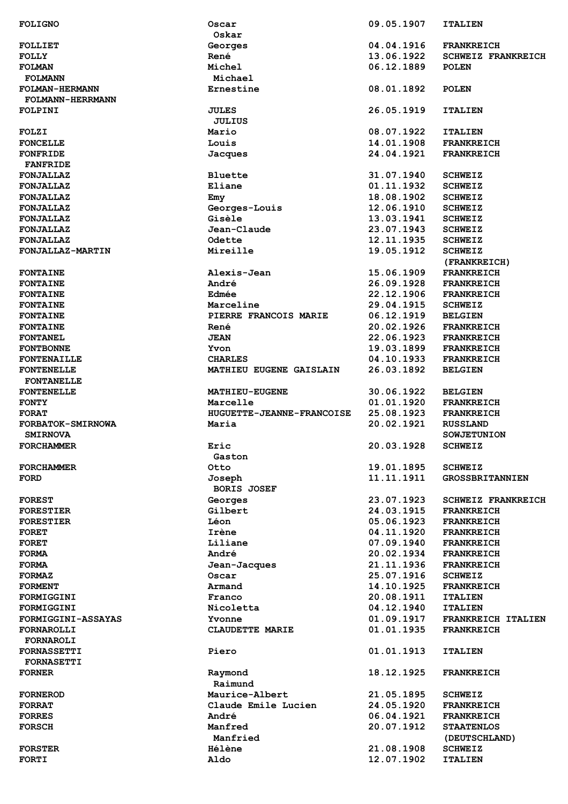|                                | Oscar                     | 09.05.1907               | <b>ITALIEN</b>                   |
|--------------------------------|---------------------------|--------------------------|----------------------------------|
|                                | Oskar                     |                          |                                  |
| <b>FOLLIET</b>                 | Georges                   | 04.04.1916               | <b>FRANKREICH</b>                |
|                                |                           |                          |                                  |
| <b>FOLLY</b>                   | René                      | 13.06.1922               | <b>SCHWEIZ FRANKREICH</b>        |
| <b>FOLMAN</b>                  | Michel                    | 06.12.1889               | <b>POLEN</b>                     |
| <b>FOLMANN</b>                 | Michael                   |                          |                                  |
| <b>FOLMAN-HERMANN</b>          | Ernestine                 | 08.01.1892               | <b>POLEN</b>                     |
| FOLMANN-HERRMANN               |                           |                          |                                  |
|                                |                           |                          |                                  |
| FOLPINI                        | <b>JULES</b>              | 26.05.1919               | <b>ITALIEN</b>                   |
|                                | <b>JULIUS</b>             |                          |                                  |
| <b>FOLZI</b>                   | Mario                     | 08.07.1922               | <b>ITALIEN</b>                   |
| <b>FONCELLE</b>                | Louis                     | 14.01.1908               | <b>FRANKREICH</b>                |
|                                |                           |                          |                                  |
| <b>FONFRIDE</b>                | Jacques                   | 24.04.1921               | <b>FRANKREICH</b>                |
| <b>FANFRIDE</b>                |                           |                          |                                  |
| <b>FONJALLAZ</b>               | Bluette                   | 31.07.1940               | <b>SCHWEIZ</b>                   |
| <b>FONJALLAZ</b>               | Eliane                    | 01.11.1932               | <b>SCHWEIZ</b>                   |
|                                |                           | 18.08.1902               |                                  |
| <b>FONJALLAZ</b>               | Emy                       |                          | <b>SCHWEIZ</b>                   |
| <b>FONJALLAZ</b>               | Georges-Louis             | 12.06.1910               | <b>SCHWEIZ</b>                   |
| <b>FONJALLAZ</b>               | Gisèle                    | 13.03.1941               | <b>SCHWEIZ</b>                   |
| <b>FONJALLAZ</b>               | Jean-Claude               | 23.07.1943               | <b>SCHWEIZ</b>                   |
| <b>FONJALLAZ</b>               | <b>Odette</b>             | 12.11.1935               | <b>SCHWEIZ</b>                   |
|                                |                           |                          |                                  |
| FONJALLAZ-MARTIN               | Mireille                  | 19.05.1912               | <b>SCHWEIZ</b>                   |
|                                |                           |                          | (FRANKREICH)                     |
| <b>FONTAINE</b>                | Alexis-Jean               | 15.06.1909               | <b>FRANKREICH</b>                |
| <b>FONTAINE</b>                | André                     | 26.09.1928               | <b>FRANKREICH</b>                |
|                                |                           |                          |                                  |
| <b>FONTAINE</b>                | Edmée                     | 22.12.1906               | <b>FRANKREICH</b>                |
| <b>FONTAINE</b>                | Marceline                 | 29.04.1915               | <b>SCHWEIZ</b>                   |
| <b>FONTAINE</b>                | PIERRE FRANCOIS MARIE     | 06.12.1919               | <b>BELGIEN</b>                   |
| <b>FONTAINE</b>                | René                      | 20.02.1926               | <b>FRANKREICH</b>                |
|                                |                           |                          |                                  |
| <b>FONTANEL</b>                | <b>JEAN</b>               | 22.06.1923               | <b>FRANKREICH</b>                |
| <b>FONTBONNE</b>               | Yvon                      | 19.03.1899               | <b>FRANKREICH</b>                |
| <b>FONTENAILLE</b>             | <b>CHARLES</b>            | 04.10.1933               | <b>FRANKREICH</b>                |
| <b>FONTENELLE</b>              | MATHIEU EUGENE GAISLAIN   | 26.03.1892               | <b>BELGIEN</b>                   |
|                                |                           |                          |                                  |
| <b>FONTANELLE</b>              |                           |                          |                                  |
| <b>FONTENELLE</b>              | <b>MATHIEU-EUGENE</b>     | 30.06.1922               | <b>BELGIEN</b>                   |
| <b>FONTY</b>                   | Marcelle                  | 01.01.1920               | <b>FRANKREICH</b>                |
| ${\tt FORAT}$                  | HUGUETTE-JEANNE-FRANCOISE | 25.08.1923               | <b>FRANKREICH</b>                |
|                                |                           | 20.02.1921               |                                  |
| FORBATOK-SMIRNOWA              | Maria                     |                          | <b>RUSSLAND</b>                  |
| <b>SMIRNOVA</b>                |                           |                          | <b>SOWJETUNION</b>               |
|                                |                           |                          |                                  |
| FORCHAMMER                     | Eric                      | 20.03.1928               | <b>SCHWEIZ</b>                   |
|                                |                           |                          |                                  |
|                                | Gaston                    |                          |                                  |
| <b>FORCHAMMER</b>              | Otto                      | 19.01.1895               | <b>SCHWEIZ</b>                   |
| <b>FORD</b>                    | Joseph                    | 11.11.1911               | <b>GROSSBRITANNIEN</b>           |
|                                | <b>BORIS JOSEF</b>        |                          |                                  |
|                                |                           |                          | <b>SCHWEIZ FRANKREICH</b>        |
| <b>FOREST</b>                  | Georges                   | 23.07.1923               |                                  |
| <b>FORESTIER</b>               | Gilbert                   | 24.03.1915               | <b>FRANKREICH</b>                |
| <b>FORESTIER</b>               | Léon                      | 05.06.1923               | <b>FRANKREICH</b>                |
| <b>FORET</b>                   | Irène                     | 04.11.1920               | <b>FRANKREICH</b>                |
| <b>FORET</b>                   | Liliane                   | 07.09.1940               | <b>FRANKREICH</b>                |
|                                |                           |                          |                                  |
| <b>FORMA</b>                   | André                     | 20.02.1934               | <b>FRANKREICH</b>                |
| <b>FORMA</b>                   | Jean-Jacques              | 21.11.1936               | <b>FRANKREICH</b>                |
| <b>FORMAZ</b>                  | Oscar                     | 25.07.1916               | <b>SCHWEIZ</b>                   |
| <b>FORMENT</b>                 | Armand                    | 14.10.1925               | <b>FRANKREICH</b>                |
|                                |                           |                          |                                  |
| <b>FORMIGGINI</b>              | Franco                    | 20.08.1911               | <b>ITALIEN</b>                   |
| <b>FORMIGGINI</b>              | Nicoletta                 | 04.12.1940               | <b>ITALIEN</b>                   |
| <b>FORMIGGINI-ASSAYAS</b>      | Yvonne                    | 01.09.1917               | FRANKREICH ITALIEN               |
| <b>FORNAROLLI</b>              | CLAUDETTE MARIE           | 01.01.1935               | <b>FRANKREICH</b>                |
|                                |                           |                          |                                  |
| <b>FORNAROLI</b>               |                           |                          |                                  |
| <b>FORNASSETTI</b>             | Piero                     | 01.01.1913               | <b>ITALIEN</b>                   |
| <b>FORNASETTI</b>              |                           |                          |                                  |
| <b>FORNER</b>                  | Raymond                   | 18.12.1925               | <b>FRANKREICH</b>                |
|                                | Raimund                   |                          |                                  |
|                                |                           |                          |                                  |
| <b>FORNEROD</b>                | Maurice-Albert            | 21.05.1895               | <b>SCHWEIZ</b>                   |
| <b>FORRAT</b>                  | Claude Emile Lucien       | 24.05.1920               | <b>FRANKREICH</b>                |
| <b>FORRES</b>                  | André                     | 06.04.1921               | <b>FRANKREICH</b>                |
| <b>FORSCH</b>                  | Manfred                   | 20.07.1912               | <b>STAATENLOS</b>                |
|                                |                           |                          |                                  |
|                                | Manfried                  |                          | (DEUTSCHLAND)                    |
| <b>FORSTER</b><br><b>FORTI</b> | <b>Hélène</b><br>Aldo     | 21.08.1908<br>12.07.1902 | <b>SCHWEIZ</b><br><b>ITALIEN</b> |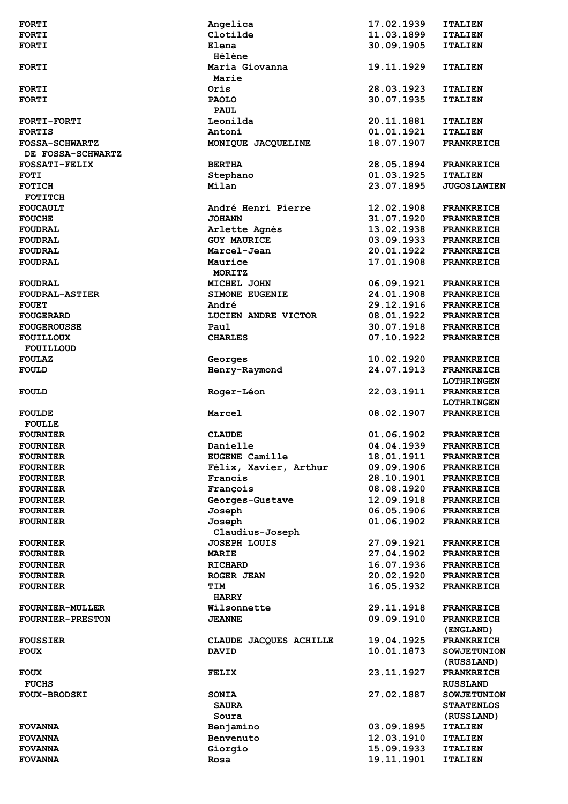| <b>FORTI</b>            | Angelica               | 17.02.1939 | <b>ITALIEN</b>     |
|-------------------------|------------------------|------------|--------------------|
| <b>FORTI</b>            | Clotilde               | 11.03.1899 | <b>ITALIEN</b>     |
| <b>FORTI</b>            | Elena                  | 30.09.1905 | <b>ITALIEN</b>     |
|                         | Hélène                 |            |                    |
| <b>FORTI</b>            | Maria Giovanna         | 19.11.1929 | <b>ITALIEN</b>     |
|                         | Marie                  |            |                    |
|                         |                        |            |                    |
| <b>FORTI</b>            | Oris                   | 28.03.1923 | <b>ITALIEN</b>     |
| <b>FORTI</b>            | <b>PAOLO</b>           | 30.07.1935 | <b>ITALIEN</b>     |
|                         | <b>PAUL</b>            |            |                    |
| <b>FORTI-FORTI</b>      | Leonilda               | 20.11.1881 | <b>ITALIEN</b>     |
| <b>FORTIS</b>           | Antoni                 | 01.01.1921 | <b>ITALIEN</b>     |
| <b>FOSSA-SCHWARTZ</b>   | MONIQUE JACQUELINE     | 18.07.1907 | <b>FRANKREICH</b>  |
| DE FOSSA-SCHWARTZ       |                        |            |                    |
| <b>FOSSATI-FELIX</b>    | <b>BERTHA</b>          | 28.05.1894 | <b>FRANKREICH</b>  |
| <b>FOTI</b>             | Stephano               | 01.03.1925 | <b>ITALIEN</b>     |
| <b>FOTICH</b>           | Milan                  | 23.07.1895 | <b>JUGOSLAWIEN</b> |
| <b>FOTITCH</b>          |                        |            |                    |
| <b>FOUCAULT</b>         | André Henri Pierre     | 12.02.1908 | <b>FRANKREICH</b>  |
| <b>FOUCHE</b>           | <b>JOHANN</b>          | 31.07.1920 | <b>FRANKREICH</b>  |
|                         |                        |            |                    |
| <b>FOUDRAL</b>          | Arlette Agnès          | 13.02.1938 | <b>FRANKREICH</b>  |
| <b>FOUDRAL</b>          | <b>GUY MAURICE</b>     | 03.09.1933 | <b>FRANKREICH</b>  |
| <b>FOUDRAL</b>          | Marcel-Jean            | 20.01.1922 | <b>FRANKREICH</b>  |
| <b>FOUDRAL</b>          | Maurice                | 17.01.1908 | <b>FRANKREICH</b>  |
|                         | MORITZ                 |            |                    |
| <b>FOUDRAL</b>          | MICHEL JOHN            | 06.09.1921 | <b>FRANKREICH</b>  |
| <b>FOUDRAL-ASTIER</b>   | <b>SIMONE EUGENIE</b>  | 24.01.1908 | <b>FRANKREICH</b>  |
| <b>FOUET</b>            | André                  | 29.12.1916 | <b>FRANKREICH</b>  |
| <b>FOUGERARD</b>        | LUCIEN ANDRE VICTOR    | 08.01.1922 | <b>FRANKREICH</b>  |
| <b>FOUGEROUSSE</b>      | Paul                   | 30.07.1918 | <b>FRANKREICH</b>  |
| <b>FOUILLOUX</b>        | <b>CHARLES</b>         | 07.10.1922 | <b>FRANKREICH</b>  |
| FOUILLOUD               |                        |            |                    |
|                         |                        |            |                    |
| <b>FOULAZ</b>           | Georges                | 10.02.1920 | <b>FRANKREICH</b>  |
| <b>FOULD</b>            | Henry-Raymond          | 24.07.1913 | <b>FRANKREICH</b>  |
|                         |                        |            | <b>LOTHRINGEN</b>  |
| <b>FOULD</b>            | Roger-Léon             | 22.03.1911 | <b>FRANKREICH</b>  |
|                         |                        |            | <b>LOTHRINGEN</b>  |
| <b>FOULDE</b>           | Marcel                 | 08.02.1907 | <b>FRANKREICH</b>  |
| <b>FOULLE</b>           |                        |            |                    |
| <b>FOURNIER</b>         | <b>CLAUDE</b>          | 01.06.1902 | <b>FRANKREICH</b>  |
| <b>FOURNIER</b>         | Danielle               | 04.04.1939 | <b>FRANKREICH</b>  |
| <b>FOURNIER</b>         | <b>EUGENE Camille</b>  | 18.01.1911 | <b>FRANKREICH</b>  |
| <b>FOURNIER</b>         | Félix, Xavier, Arthur  | 09.09.1906 | <b>FRANKREICH</b>  |
| <b>FOURNIER</b>         | Francis                | 28.10.1901 | <b>FRANKREICH</b>  |
| <b>FOURNIER</b>         | François               | 08.08.1920 | <b>FRANKREICH</b>  |
|                         |                        | 12.09.1918 |                    |
| <b>FOURNIER</b>         | Georges-Gustave        |            | <b>FRANKREICH</b>  |
| <b>FOURNIER</b>         | Joseph                 | 06.05.1906 | <b>FRANKREICH</b>  |
| <b>FOURNIER</b>         | Joseph                 | 01.06.1902 | <b>FRANKREICH</b>  |
|                         | Claudius-Joseph        |            |                    |
| <b>FOURNIER</b>         | <b>JOSEPH LOUIS</b>    | 27.09.1921 | <b>FRANKREICH</b>  |
| <b>FOURNIER</b>         | <b>MARIE</b>           | 27.04.1902 | <b>FRANKREICH</b>  |
| <b>FOURNIER</b>         | <b>RICHARD</b>         | 16.07.1936 | <b>FRANKREICH</b>  |
| <b>FOURNIER</b>         | ROGER JEAN             | 20.02.1920 | <b>FRANKREICH</b>  |
| <b>FOURNIER</b>         | TIM                    | 16.05.1932 | <b>FRANKREICH</b>  |
|                         | <b>HARRY</b>           |            |                    |
| <b>FOURNIER-MULLER</b>  | Wilsonnette            | 29.11.1918 | <b>FRANKREICH</b>  |
| <b>FOURNIER-PRESTON</b> | <b>JEANNE</b>          | 09.09.1910 | <b>FRANKREICH</b>  |
|                         |                        |            | (ENGLAND)          |
| <b>FOUSSIER</b>         | CLAUDE JACQUES ACHILLE | 19.04.1925 | <b>FRANKREICH</b>  |
| <b>FOUX</b>             | <b>DAVID</b>           | 10.01.1873 | <b>SOWJETUNION</b> |
|                         |                        |            |                    |
|                         |                        |            | (RUSSLAND)         |
| <b>FOUX</b>             | FELIX                  | 23.11.1927 | <b>FRANKREICH</b>  |
| <b>FUCHS</b>            |                        |            | <b>RUSSLAND</b>    |
| <b>FOUX-BRODSKI</b>     | <b>SONIA</b>           | 27.02.1887 | <b>SOWJETUNION</b> |
|                         | <b>SAURA</b>           |            | <b>STAATENLOS</b>  |
|                         | Soura                  |            | (RUSSLAND)         |
| <b>FOVANNA</b>          | Benjamino              | 03.09.1895 | <b>ITALIEN</b>     |
| <b>FOVANNA</b>          | Benvenuto              | 12.03.1910 | <b>ITALIEN</b>     |
| <b>FOVANNA</b>          | Giorgio                | 15.09.1933 | <b>ITALIEN</b>     |
| <b>FOVANNA</b>          | Rosa                   | 19.11.1901 | <b>ITALIEN</b>     |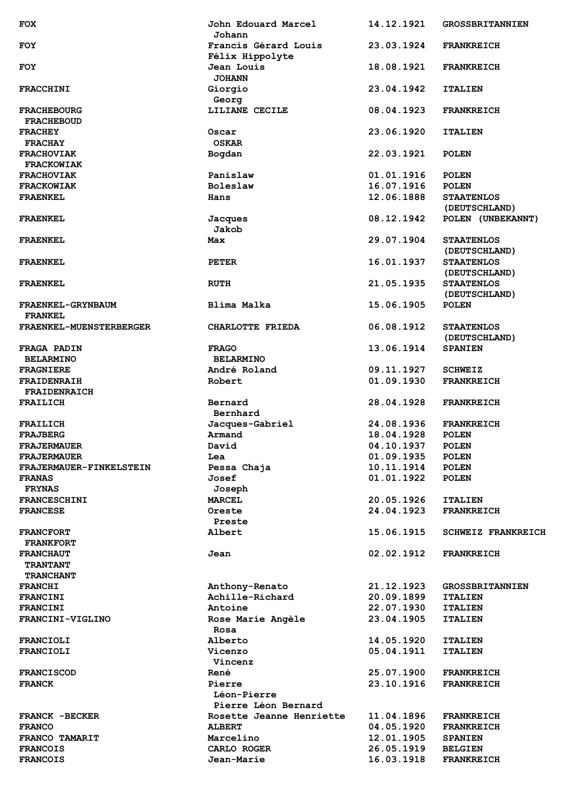| <b>FOX</b>                              | John Edouard Marcel<br>Johann             | 14.12.1921               | <b>GROSSBRITANNIEN</b>                   |
|-----------------------------------------|-------------------------------------------|--------------------------|------------------------------------------|
| <b>FOY</b>                              | Francis Gérard Louis                      | 23.03.1924               | <b>FRANKREICH</b>                        |
| <b>FOY</b>                              | Félix Hippolyte<br>Jean Louis             | 18.08.1921               | <b>FRANKREICH</b>                        |
|                                         | <b>JOHANN</b>                             | 23.04.1942               |                                          |
| <b>FRACCHINI</b>                        | Giorgio<br>Georg                          |                          | <b>ITALIEN</b>                           |
| <b>FRACHEBOURG</b><br><b>FRACHEBOUD</b> | LILIANE CECILE                            | 08.04.1923               | <b>FRANKREICH</b>                        |
| <b>FRACHEY</b>                          | Oscar                                     | 23.06.1920               | <b>ITALIEN</b>                           |
| <b>FRACHAY</b><br><b>FRACHOVIAK</b>     | <b>OSKAR</b><br>Bogdan                    | 22.03.1921               | <b>POLEN</b>                             |
| <b>FRACKOWIAK</b>                       |                                           |                          |                                          |
| <b>FRACHOVIAK</b>                       | Panislaw                                  | 01.01.1916               | <b>POLEN</b>                             |
| <b>FRACKOWIAK</b>                       | <b>Boleslaw</b>                           | 16.07.1916               | <b>POLEN</b>                             |
| <b>FRAENKEL</b>                         | Hans                                      | 12.06.1888               | <b>STAATENLOS</b>                        |
|                                         |                                           |                          | (DEUTSCHLAND)                            |
| <b>FRAENKEL</b>                         | Jacques<br>Jakob                          | 08.12.1942               | POLEN (UNBEKANNT)                        |
| <b>FRAENKEL</b>                         | Max                                       | 29.07.1904               | <b>STAATENLOS</b>                        |
| <b>FRAENKEL</b>                         | <b>PETER</b>                              | 16.01.1937               | (DEUTSCHLAND)<br><b>STAATENLOS</b>       |
|                                         |                                           |                          | (DEUTSCHLAND)                            |
| <b>FRAENKEL</b>                         | <b>RUTH</b>                               | 21.05.1935               | <b>STAATENLOS</b><br>(DEUTSCHLAND)       |
| FRAENKEL-GRYNBAUM                       | Blima Malka                               | 15.06.1905               | <b>POLEN</b>                             |
| <b>FRANKEL</b>                          |                                           |                          |                                          |
| <b>FRAENKEL-MUENSTERBERGER</b>          | CHARLOTTE FRIEDA                          | 06.08.1912               | <b>STAATENLOS</b><br>(DEUTSCHLAND)       |
| <b>FRAGA PADIN</b>                      | <b>FRAGO</b>                              | 13.06.1914               | <b>SPANIEN</b>                           |
| <b>BELARMINO</b>                        | <b>BELARMINO</b>                          |                          |                                          |
| <b>FRAGNIERE</b>                        | André Roland                              | 09.11.1927               | <b>SCHWEIZ</b>                           |
| <b>FRAIDENRAIH</b>                      | Robert                                    | 01.09.1930               | <b>FRANKREICH</b>                        |
| <b>FRAIDENRAICH</b>                     |                                           |                          |                                          |
| FRAILICH                                | Bernard<br>Bernhard                       | 28.04.1928               | <b>FRANKREICH</b>                        |
| FRAILICH                                | Jacques-Gabriel                           | 24.08.1936               | <b>FRANKREICH</b>                        |
| <b>FRAJBERG</b>                         | Armand                                    | 18.04.1928               | <b>POLEN</b>                             |
| <b>FRAJERMAUER</b>                      | David                                     | 04.10.1937               | <b>POLEN</b>                             |
|                                         |                                           |                          |                                          |
| <b>FRAJERMAUER</b>                      | Lea                                       | 01.09.1935               | <b>POLEN</b>                             |
| FRAJERMAUER-FINKELSTEIN                 | Pessa Chaja                               | 10.11.1914               | <b>POLEN</b>                             |
| <b>FRANAS</b>                           | Josef                                     | 01.01.1922               | <b>POLEN</b>                             |
| <b>FRYNAS</b>                           | Joseph                                    |                          |                                          |
| <b>FRANCESCHINI</b>                     | <b>MARCEL</b>                             | 20.05.1926               | <b>ITALIEN</b>                           |
| <b>FRANCESE</b>                         | Oreste                                    | 24.04.1923               | <b>FRANKREICH</b>                        |
| <b>FRANCFORT</b>                        | Preste<br>Albert                          | 15.06.1915               | <b>SCHWEIZ FRANKREICH</b>                |
| <b>FRANKFORT</b>                        |                                           |                          |                                          |
| <b>FRANCHAUT</b>                        | Jean                                      | 02.02.1912               | <b>FRANKREICH</b>                        |
| <b>TRANTANT</b>                         |                                           |                          |                                          |
| <b>TRANCHANT</b>                        |                                           |                          |                                          |
| <b>FRANCHI</b><br><b>FRANCINI</b>       | Anthony-Renato<br>Achille-Richard         | 21.12.1923<br>20.09.1899 | <b>GROSSBRITANNIEN</b><br><b>ITALIEN</b> |
| <b>FRANCINI</b>                         | Antoine                                   | 22.07.1930               | <b>ITALIEN</b>                           |
| FRANCINI-VIGLINO                        | Rose Marie Angèle                         | 23.04.1905               | <b>ITALIEN</b>                           |
|                                         | Rosa                                      |                          |                                          |
| <b>FRANCIOLI</b>                        | Alberto                                   | 14.05.1920               | <b>ITALIEN</b>                           |
| <b>FRANCIOLI</b>                        | Vicenzo<br>Vincenz                        | 05.04.1911               | <b>ITALIEN</b>                           |
| <b>FRANCISCOD</b>                       | René                                      | 25.07.1900               | <b>FRANKREICH</b>                        |
| <b>FRANCK</b>                           | Pierre                                    | 23.10.1916               | <b>FRANKREICH</b>                        |
|                                         | <b>Léon-Pierre</b><br>Pierre Léon Bernard |                          |                                          |
| <b>FRANCK -BECKER</b>                   | Rosette Jeanne Henriette                  | 11.04.1896               | <b>FRANKREICH</b>                        |
| <b>FRANCO</b>                           | <b>ALBERT</b>                             | 04.05.1920               | <b>FRANKREICH</b>                        |
| FRANCO TAMARIT                          | Marcelino                                 | 12.01.1905               | <b>SPANIEN</b>                           |
| <b>FRANCOIS</b><br><b>FRANCOIS</b>      | CARLO ROGER<br>Jean-Marie                 | 26.05.1919<br>16.03.1918 | <b>BELGIEN</b><br><b>FRANKREICH</b>      |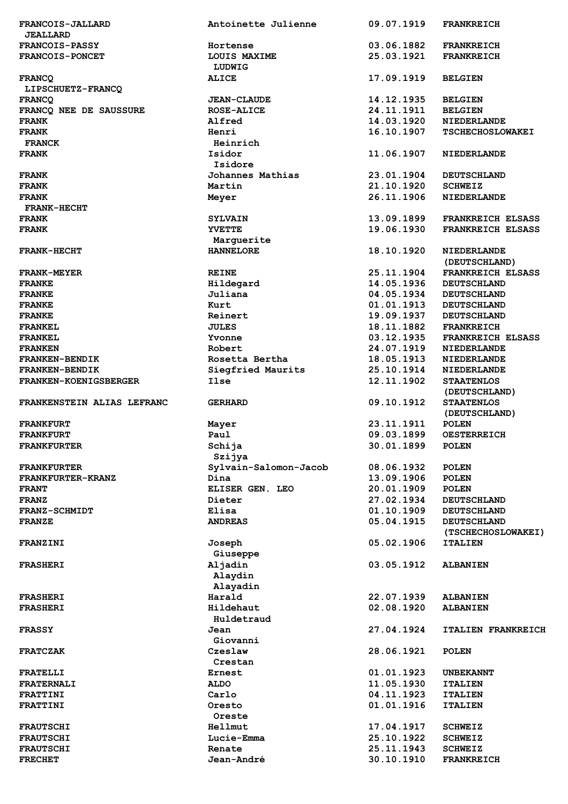| FRANCOIS-JALLARD             | Antoinette Julienne   | 09.07.1919 | <b>FRANKREICH</b>         |
|------------------------------|-----------------------|------------|---------------------------|
| <b>JEALLARD</b>              |                       |            |                           |
| <b>FRANCOIS-PASSY</b>        | Hortense              | 03.06.1882 | <b>FRANKREICH</b>         |
|                              |                       |            |                           |
| <b>FRANCOIS-PONCET</b>       | LOUIS MAXIME          | 25.03.1921 | <b>FRANKREICH</b>         |
|                              | LUDWIG                |            |                           |
|                              |                       |            |                           |
| <b>FRANCO</b>                | <b>ALICE</b>          | 17.09.1919 | <b>BELGIEN</b>            |
| LIPSCHUETZ-FRANCQ            |                       |            |                           |
| <b>FRANCO</b>                | <b>JEAN-CLAUDE</b>    | 14.12.1935 | <b>BELGIEN</b>            |
|                              |                       |            |                           |
| FRANCO NEE DE SAUSSURE       | <b>ROSE-ALICE</b>     | 24.11.1911 | <b>BELGIEN</b>            |
| <b>FRANK</b>                 | Alfred                | 14.03.1920 | <b>NIEDERLANDE</b>        |
| <b>FRANK</b>                 | Henri                 | 16.10.1907 |                           |
|                              |                       |            | <b>TSCHECHOSLOWAKEI</b>   |
| <b>FRANCK</b>                | Heinrich              |            |                           |
| <b>FRANK</b>                 | Isidor                | 11.06.1907 | <b>NIEDERLANDE</b>        |
|                              |                       |            |                           |
|                              | Isidore               |            |                           |
| <b>FRANK</b>                 | Johannes Mathias      | 23.01.1904 | <b>DEUTSCHLAND</b>        |
| <b>FRANK</b>                 | Martin                | 21.10.1920 | <b>SCHWEIZ</b>            |
|                              |                       |            |                           |
| <b>FRANK</b>                 | Meyer                 | 26.11.1906 | <b>NIEDERLANDE</b>        |
| <b>FRANK-HECHT</b>           |                       |            |                           |
| <b>FRANK</b>                 | <b>SYLVAIN</b>        | 13.09.1899 | <b>FRANKREICH ELSASS</b>  |
|                              |                       |            |                           |
| <b>FRANK</b>                 | <b>YVETTE</b>         | 19.06.1930 | <b>FRANKREICH ELSASS</b>  |
|                              | Marguerite            |            |                           |
| <b>FRANK-HECHT</b>           | <b>HANNELORE</b>      | 18.10.1920 | NIEDERLANDE               |
|                              |                       |            |                           |
|                              |                       |            | (DEUTSCHLAND)             |
| <b>FRANK-MEYER</b>           | <b>REINE</b>          | 25.11.1904 | <b>FRANKREICH ELSASS</b>  |
|                              |                       |            |                           |
| <b>FRANKE</b>                | Hildegard             | 14.05.1936 | <b>DEUTSCHLAND</b>        |
| <b>FRANKE</b>                | Juliana               | 04.05.1934 | <b>DEUTSCHLAND</b>        |
| <b>FRANKE</b>                | Kurt                  | 01.01.1913 | <b>DEUTSCHLAND</b>        |
|                              |                       |            |                           |
| <b>FRANKE</b>                | Reinert               | 19.09.1937 | <b>DEUTSCHLAND</b>        |
| <b>FRANKEL</b>               | <b>JULES</b>          | 18.11.1882 | <b>FRANKREICH</b>         |
|                              |                       | 03.12.1935 |                           |
| <b>FRANKEL</b>               | Yvonne                |            | <b>FRANKREICH ELSASS</b>  |
| <b>FRANKEN</b>               | Robert                | 24.07.1919 | <b>NIEDERLANDE</b>        |
| <b>FRANKEN-BENDIK</b>        | Rosetta Bertha        | 18.05.1913 | <b>NIEDERLANDE</b>        |
|                              |                       |            |                           |
| <b>FRANKEN-BENDIK</b>        | Siegfried Maurits     | 25.10.1914 | <b>NIEDERLANDE</b>        |
| <b>FRANKEN-KOENIGSBERGER</b> | <b>Ilse</b>           | 12.11.1902 | <b>STAATENLOS</b>         |
|                              |                       |            | (DEUTSCHLAND)             |
|                              |                       |            |                           |
| FRANKENSTEIN ALIAS LEFRANC   | <b>GERHARD</b>        | 09.10.1912 | <b>STAATENLOS</b>         |
|                              |                       |            | (DEUTSCHLAND)             |
| <b>FRANKFURT</b>             | Mayer                 | 23.11.1911 | <b>POLEN</b>              |
|                              |                       |            |                           |
| <b>FRANKFURT</b>             | Paul                  | 09.03.1899 | <b>OESTERREICH</b>        |
| <b>FRANKFURTER</b>           | Schija                | 30.01.1899 | <b>POLEN</b>              |
|                              |                       |            |                           |
|                              | Szijya                |            |                           |
| <b>FRANKFURTER</b>           | Sylvain-Salomon-Jacob | 08.06.1932 | <b>POLEN</b>              |
| FRANKFURTER-KRANZ            | Dina                  | 13.09.1906 | <b>POLEN</b>              |
|                              |                       |            |                           |
| <b>FRANT</b>                 | ELISER GEN. LEO       | 20.01.1909 | <b>POLEN</b>              |
| <b>FRANZ</b>                 | Dieter                | 27.02.1934 | <b>DEUTSCHLAND</b>        |
| FRANZ-SCHMIDT                | Elisa                 | 01.10.1909 | <b>DEUTSCHLAND</b>        |
|                              |                       |            |                           |
| <b>FRANZE</b>                | <b>ANDREAS</b>        | 05.04.1915 | <b>DEUTSCHLAND</b>        |
|                              |                       |            | (TSCHECHOSLOWAKEI)        |
| <b>FRANZINI</b>              | Joseph                | 05.02.1906 | <b>ITALIEN</b>            |
|                              |                       |            |                           |
|                              | Giuseppe              |            |                           |
| <b>FRASHERI</b>              | Aljadin               | 03.05.1912 | <b>ALBANIEN</b>           |
|                              |                       |            |                           |
|                              | Alaydin               |            |                           |
|                              | Alayadin              |            |                           |
| <b>FRASHERI</b>              | Harald                | 22.07.1939 | <b>ALBANIEN</b>           |
|                              |                       |            |                           |
| <b>FRASHERI</b>              | Hildehaut             | 02.08.1920 | <b>ALBANIEN</b>           |
|                              | Huldetraud            |            |                           |
| <b>FRASSY</b>                | Jean                  | 27.04.1924 | <b>ITALIEN FRANKREICH</b> |
|                              |                       |            |                           |
|                              | Giovanni              |            |                           |
| <b>FRATCZAK</b>              | Czeslaw               | 28.06.1921 | <b>POLEN</b>              |
|                              | Crestan               |            |                           |
|                              |                       |            |                           |
| <b>FRATELLI</b>              | Ernest                | 01.01.1923 | <b>UNBEKANNT</b>          |
| <b>FRATERNALI</b>            | <b>ALDO</b>           | 11.05.1930 | <b>ITALIEN</b>            |
|                              | Carlo                 | 04.11.1923 |                           |
| <b>FRATTINI</b>              |                       |            | <b>ITALIEN</b>            |
| <b>FRATTINI</b>              | Oresto                | 01.01.1916 | <b>ITALIEN</b>            |
|                              | Oreste                |            |                           |
|                              |                       |            |                           |
| <b>FRAUTSCHI</b>             | Hellmut               | 17.04.1917 | <b>SCHWEIZ</b>            |
| <b>FRAUTSCHI</b>             | Lucie-Emma            | 25.10.1922 | <b>SCHWEIZ</b>            |
| <b>FRAUTSCHI</b>             | Renate                | 25.11.1943 | <b>SCHWEIZ</b>            |
|                              |                       |            |                           |
| <b>FRECHET</b>               | Jean-André            | 30.10.1910 | <b>FRANKREICH</b>         |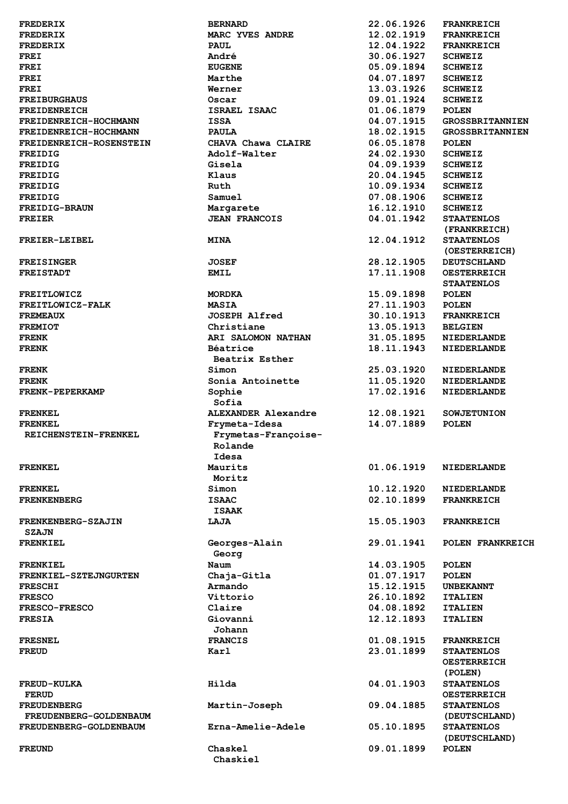| <b>FREDERIX</b>                    | <b>BERNARD</b>                                 | 22.06.1926               | <b>FRANKREICH</b>                                  |
|------------------------------------|------------------------------------------------|--------------------------|----------------------------------------------------|
| <b>FREDERIX</b>                    | MARC YVES ANDRE                                | 12.02.1919               | <b>FRANKREICH</b>                                  |
| <b>FREDERIX</b>                    | <b>PAUL</b>                                    | 12.04.1922               | <b>FRANKREICH</b>                                  |
| <b>FREI</b>                        | André                                          | 30.06.1927               | <b>SCHWEIZ</b>                                     |
| <b>FREI</b>                        | <b>EUGENE</b>                                  | 05.09.1894               | <b>SCHWEIZ</b>                                     |
| <b>FREI</b>                        | Marthe                                         | 04.07.1897               | <b>SCHWEIZ</b>                                     |
| <b>FREI</b>                        | Werner                                         | 13.03.1926               | <b>SCHWEIZ</b>                                     |
| <b>FREIBURGHAUS</b>                | Oscar                                          | 09.01.1924               | <b>SCHWEIZ</b>                                     |
| <b>FREIDENREICH</b>                | ISRAEL ISAAC                                   | 01.06.1879               | <b>POLEN</b>                                       |
| FREIDENREICH-HOCHMANN              | <b>ISSA</b>                                    | 04.07.1915               | <b>GROSSBRITANN</b>                                |
| FREIDENREICH-HOCHMANN              | <b>PAULA</b>                                   | 18.02.1915               | <b>GROSSBRITANN</b>                                |
| FREIDENREICH-ROSENSTEIN            | CHAVA Chawa CLAIRE                             | 06.05.1878               | <b>POLEN</b>                                       |
| <b>FREIDIG</b>                     | Adolf-Walter                                   | 24.02.1930<br>04.09.1939 | <b>SCHWEIZ</b>                                     |
| <b>FREIDIG</b>                     | Gisela<br>Klaus                                | 20.04.1945               | <b>SCHWEIZ</b>                                     |
| <b>FREIDIG</b><br><b>FREIDIG</b>   | Ruth                                           | 10.09.1934               | <b>SCHWEIZ</b><br><b>SCHWEIZ</b>                   |
| <b>FREIDIG</b>                     | Samuel                                         | 07.08.1906               | <b>SCHWEIZ</b>                                     |
| <b>FREIDIG-BRAUN</b>               | Margarete                                      | 16.12.1910               | <b>SCHWEIZ</b>                                     |
| <b>FREIER</b>                      | <b>JEAN FRANCOIS</b>                           | 04.01.1942               | <b>STAATENLOS</b>                                  |
| FREIER-LEIBEL                      | <b>MINA</b>                                    | 12.04.1912               | (FRANKREICH)<br><b>STAATENLOS</b>                  |
|                                    |                                                |                          | <b>(OESTERREICH</b>                                |
| <b>FREISINGER</b>                  | <b>JOSEF</b>                                   | 28.12.1905               | <b>DEUTSCHLAND</b>                                 |
| <b>FREISTADT</b>                   | <b>EMIL</b>                                    | 17.11.1908               | <b>OESTERREICH</b><br><b>STAATENLOS</b>            |
| <b>FREITLOWICZ</b>                 | <b>MORDKA</b>                                  | 15.09.1898               | POLEN                                              |
| FREITLOWICZ-FALK                   | <b>MASIA</b>                                   | 27.11.1903               | <b>POLEN</b>                                       |
| <b>FREMEAUX</b>                    | <b>JOSEPH Alfred</b>                           | 30.10.1913               | <b>FRANKREICH</b>                                  |
| <b>FREMIOT</b>                     | Christiane                                     | 13.05.1913               | <b>BELGIEN</b>                                     |
| <b>FRENK</b>                       | ARI SALOMON NATHAN                             | 31.05.1895<br>18.11.1943 | <b>NIEDERLANDE</b>                                 |
| <b>FRENK</b>                       | Béatrice<br>Beatrix Esther                     |                          | <b>NIEDERLANDE</b>                                 |
| <b>FRENK</b>                       | Simon                                          | 25.03.1920               | <b>NIEDERLANDE</b>                                 |
| <b>FRENK</b>                       | Sonia Antoinette                               | 11.05.1920               | <b>NIEDERLANDE</b>                                 |
| <b>FRENK-PEPERKAMP</b>             | Sophie<br>Sofia                                | 17.02.1916               | <b>NIEDERLANDE</b>                                 |
| <b>FRENKEL</b>                     | <b>ALEXANDER Alexandre</b>                     | 12.08.1921               | <b>SOWJETUNION</b>                                 |
| <b>FRENKEL</b>                     | Frymeta-Idesa                                  | 14.07.1889               | <b>POLEN</b>                                       |
| REICHENSTEIN-FRENKEL               | Frymetas-Françoise-<br><b>Rolande</b><br>Idesa |                          |                                                    |
| <b>FRENKEL</b>                     | Maurits                                        | 01.06.1919               | <b>NIEDERLANDE</b>                                 |
|                                    | Moritz                                         |                          |                                                    |
| <b>FRENKEL</b>                     | Simon                                          | 10.12.1920               | <b>NIEDERLANDE</b>                                 |
| <b>FRENKENBERG</b>                 | <b>ISAAC</b>                                   | 02.10.1899               | <b>FRANKREICH</b>                                  |
|                                    | <b>ISAAK</b>                                   |                          |                                                    |
| FRENKENBERG-SZAJIN<br><b>SZAJN</b> | LAJA                                           | 15.05.1903               | <b>FRANKREICH</b>                                  |
| <b>FRENKIEL</b>                    | Georges-Alain<br>Georg                         | 29.01.1941               | <b>POLEN FRANKR</b>                                |
| <b>FRENKIEL</b>                    | Naum                                           | 14.03.1905               | <b>POLEN</b>                                       |
| FRENKIEL-SZTEJNGURTEN              | Chaja-Gitla                                    | 01.07.1917               | <b>POLEN</b>                                       |
| <b>FRESCHI</b>                     | Armando                                        | 15.12.1915               | <b>UNBEKANNT</b>                                   |
| <b>FRESCO</b>                      | Vittorio                                       | 26.10.1892               | <b>ITALIEN</b>                                     |
| <b>FRESCO-FRESCO</b>               | Claire                                         | 04.08.1892               | <b>ITALIEN</b>                                     |
| <b>FRESIA</b>                      | Giovanni<br>Johann                             | 12.12.1893               | <b>ITALIEN</b>                                     |
| <b>FRESNEL</b>                     | <b>FRANCIS</b>                                 | 01.08.1915               | <b>FRANKREICH</b>                                  |
| <b>FREUD</b>                       | Karl                                           | 23.01.1899               | <b>STAATENLOS</b><br><b>OESTERREICH</b><br>(POLEN) |
| <b>FREUD-KULKA</b><br><b>FERUD</b> | Hilda                                          | 04.01.1903               | <b>STAATENLOS</b><br><b>OESTERREICH</b>            |
| <b>FREUDENBERG</b>                 | Martin-Joseph                                  | 09.04.1885               | <b>STAATENLOS</b>                                  |
| FREUDENBERG-GOLDENBAUM             |                                                |                          | (DEUTSCHLAND                                       |
| FREUDENBERG-GOLDENBAUM             | Erna-Amelie-Adele                              | 05.10.1895               | <b>STAATENLOS</b><br>(DEUTSCHLAND                  |

 **Chaskiel** 

**FRANKREICH** 22.06.1926 FRANKREICH **MARC YVES ANDRE 12.02.1919 FRANKREICH FREDERIX PAUL 12.04.1922 FRANKREICH 64.07.1897 SCHWEIZ**<br>13.03.1926 SCHWEIZ **FREIDENREICH-HOCHMANN ISSA 04.07.1915 GROSSBRITANNIEN FREIGHBIRG ISSUED ISSUED: FREIDEN** 18.05.1878 POLEN JEAN FRANCOIS 04.01.1942 STAATENLOS  **(FRANKREICH) FREIER-LEIBEL MINA 12.04.1912 STAATENLOS (OESTERREICH) FREISINGER JOSEF 28.12.1905 DEUTSCHLAND FAIL EMIL 17.11.1908 OESTERREICH STAATENLOS FREMEAUX JOSEPH Alfred 30.10.1913 FRANKREICH FRENK ARI SALOMON NATHAN 31.05.1895 NIEDERLANDE FRENCH BÉATRICE** 18.11.1943 NIEDERLANDE Framon 25.03.1920 NIEDERLANDE<br> **FRENC Sonia Antoinette** 11.05.1920 NIEDERLANDE **FRENK Sonia Antoinette 11.05.1920 NIEDERLANDE FRENKEL ALEXANDER Alexandre 12.08.1921 SOWJETUNION FRANKREICH** 15.05.1903 FRANKREICH Georges-Alain 29.01.1941 POLEN FRANKREICH **FRESNEL FRANCIS 01.08.1915 FRANKREICH FREUD Karl 23.01.1899 STAATENLOS OESTERREICH FREUD-KULKA Hilda 04.01.1903 STAATENLOS OESTERREICH**<br>**89.04.1885** STAATENLOS **(DEUTSCHLAND)**<br>05.10.1895 STAATENLOS Erna-Amelie-Adele 05.10.1895 STAATENLOS  **(DEUTSCHLAND)**  09.01.1899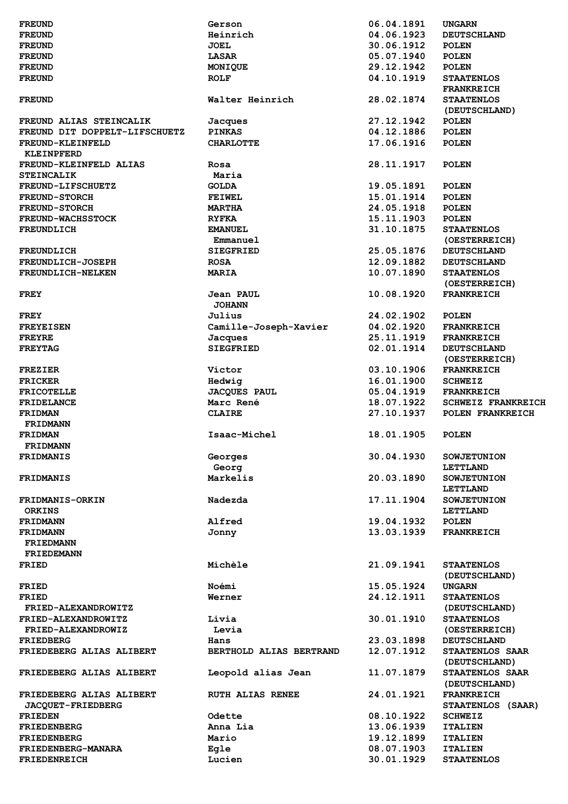| <b>FREUND</b>                             | Gerson                  | 06.04.1891               | <b>UNGARN</b>                       |
|-------------------------------------------|-------------------------|--------------------------|-------------------------------------|
| <b>FREUND</b>                             | Heinrich                | 04.06.1923               | <b>DEUTSCHLAND</b>                  |
| <b>FREUND</b>                             | <b>JOEL</b>             | 30.06.1912               | <b>POLEN</b>                        |
| <b>FREUND</b>                             | LASAR                   | 05.07.1940               | <b>POLEN</b>                        |
| <b>FREUND</b>                             | MONIQUE                 | 29.12.1942               | <b>POLEN</b>                        |
| <b>FREUND</b>                             | <b>ROLF</b>             | 04.10.1919               | <b>STAATENLOS</b>                   |
|                                           |                         |                          |                                     |
|                                           |                         |                          | <b>FRANKREICH</b>                   |
| <b>FREUND</b>                             | Walter Heinrich         | 28.02.1874               | <b>STAATENLOS</b>                   |
|                                           |                         |                          | (DEUTSCHLAND)                       |
| FREUND ALIAS STEINCALIK                   | Jacques                 | 27.12.1942               | <b>POLEN</b>                        |
| FREUND DIT DOPPELT-LIFSCHUETZ             | <b>PINKAS</b>           | 04.12.1886               | <b>POLEN</b>                        |
| FREUND-KLEINFELD                          | <b>CHARLOTTE</b>        | 17.06.1916               | <b>POLEN</b>                        |
| <b>KLEINPFERD</b>                         |                         |                          |                                     |
| FREUND-KLEINFELD ALIAS                    | Rosa                    | 28.11.1917               | <b>POLEN</b>                        |
| <b>STEINCALIK</b>                         | Maria                   |                          |                                     |
|                                           |                         |                          |                                     |
| <b>FREUND-LIFSCHUETZ</b>                  | <b>GOLDA</b>            | 19.05.1891               | <b>POLEN</b>                        |
| <b>FREUND-STORCH</b>                      | <b>FEIWEL</b>           | 15.01.1914               | <b>POLEN</b>                        |
| <b>FREUND-STORCH</b>                      | <b>MARTHA</b>           | 24.05.1918               | <b>POLEN</b>                        |
| <b>FREUND-WACHSSTOCK</b>                  | <b>RYFKA</b>            | 15.11.1903               | <b>POLEN</b>                        |
| <b>FREUNDLICH</b>                         | <b>EMANUEL</b>          | 31.10.1875               | <b>STAATENLOS</b>                   |
|                                           | Emmanuel                |                          | (OESTERREICH)                       |
| <b>FREUNDLICH</b>                         | <b>SIEGFRIED</b>        | 25.05.1876               | <b>DEUTSCHLAND</b>                  |
| <b>FREUNDLICH-JOSEPH</b>                  | <b>ROSA</b>             | 12.09.1882               | <b>DEUTSCHLAND</b>                  |
|                                           |                         |                          |                                     |
| FREUNDLICH-NELKEN                         | <b>MARIA</b>            | 10.07.1890               | <b>STAATENLOS</b>                   |
|                                           |                         |                          | (OESTERREICH)                       |
| <b>FREY</b>                               | Jean PAUL               | 10.08.1920               | <b>FRANKREICH</b>                   |
|                                           | <b>JOHANN</b>           |                          |                                     |
| <b>FREY</b>                               | Julius                  | 24.02.1902               | <b>POLEN</b>                        |
| <b>FREYEISEN</b>                          | Camille-Joseph-Xavier   | 04.02.1920               | <b>FRANKREICH</b>                   |
| <b>FREYRE</b>                             | Jacques                 | 25.11.1919               | <b>FRANKREICH</b>                   |
|                                           |                         |                          |                                     |
| <b>FREYTAG</b>                            | <b>SIEGFRIED</b>        | 02.01.1914               | <b>DEUTSCHLAND</b>                  |
|                                           |                         |                          | (OESTERREICH)                       |
| <b>FREZIER</b>                            | Victor                  | 03.10.1906               | <b>FRANKREICH</b>                   |
| <b>FRICKER</b>                            | Hedwig                  | 16.01.1900               | <b>SCHWEIZ</b>                      |
| <b>FRICOTELLE</b>                         | <b>JACQUES PAUL</b>     | 05.04.1919               | <b>FRANKREICH</b>                   |
| <b>FRIDELANCE</b>                         | Marc René               | 18.07.1922               | <b>SCHWEIZ FRANKREICH</b>           |
| <b>FRIDMAN</b>                            | <b>CLAIRE</b>           | 27.10.1937               | POLEN FRANKREICH                    |
|                                           |                         |                          |                                     |
| <b>FRIDMANN</b>                           |                         |                          |                                     |
|                                           |                         | 18.01.1905               | <b>POLEN</b>                        |
| <b>FRIDMAN</b>                            | Isaac-Michel            |                          |                                     |
| <b>FRIDMANN</b>                           |                         |                          |                                     |
| <b>FRIDMANIS</b>                          | Georges                 | 30.04.1930               | <b>SOWJETUNION</b>                  |
|                                           | Georg                   |                          | LETTLAND                            |
|                                           |                         |                          | <b>SOWJETUNION</b>                  |
| <b>FRIDMANIS</b>                          | Markelis                | 20.03.1890               |                                     |
|                                           |                         |                          | LETTLAND                            |
| <b>FRIDMANIS-ORKIN</b>                    | Nadezda                 | 17.11.1904               | <b>SOWJETUNION</b>                  |
| <b>ORKINS</b>                             |                         |                          | <b>LETTLAND</b>                     |
| <b>FRIDMANN</b>                           | Alfred                  | 19.04.1932               | <b>POLEN</b>                        |
| <b>FRIDMANN</b>                           | Jonny                   | 13.03.1939               | <b>FRANKREICH</b>                   |
| <b>FRIEDMANN</b>                          |                         |                          |                                     |
| <b>FRIEDEMANN</b>                         |                         |                          |                                     |
|                                           |                         |                          |                                     |
| FRIED                                     | Michèle                 | 21.09.1941               | <b>STAATENLOS</b>                   |
|                                           |                         |                          | (DEUTSCHLAND)                       |
| <b>FRIED</b>                              | Noémi                   | 15.05.1924               | <b>UNGARN</b>                       |
| <b>FRIED</b>                              | Werner                  | 24.12.1911               | <b>STAATENLOS</b>                   |
| FRIED-ALEXANDROWITZ                       |                         |                          | (DEUTSCHLAND)                       |
| FRIED-ALEXANDROWITZ                       | Livia                   | 30.01.1910               | <b>STAATENLOS</b>                   |
| FRIED-ALEXANDROWIZ                        | Levia                   |                          | (OESTERREICH)                       |
|                                           | Hans                    |                          |                                     |
| FRIEDBERG                                 |                         | 23.03.1898               | <b>DEUTSCHLAND</b>                  |
| FRIEDEBERG ALIAS ALIBERT                  | BERTHOLD ALIAS BERTRAND | 12.07.1912               | STAATENLOS SAAR                     |
|                                           |                         |                          | (DEUTSCHLAND)                       |
| FRIEDEBERG ALIAS ALIBERT                  | Leopold alias Jean      | 11.07.1879               | STAATENLOS SAAR                     |
|                                           |                         |                          | (DEUTSCHLAND)                       |
| FRIEDEBERG ALIAS ALIBERT                  | <b>RUTH ALIAS RENEE</b> | 24.01.1921               | <b>FRANKREICH</b>                   |
| JACQUET-FRIEDBERG                         |                         |                          | STAATENLOS (SAAR)                   |
| <b>FRIEDEN</b>                            | Odette                  | 08.10.1922               | <b>SCHWEIZ</b>                      |
| <b>FRIEDENBERG</b>                        | Anna Lia                | 13.06.1939               | <b>ITALIEN</b>                      |
|                                           |                         |                          |                                     |
| <b>FRIEDENBERG</b>                        | Mario                   | 19.12.1899               | <b>ITALIEN</b>                      |
| FRIEDENBERG-MANARA<br><b>FRIEDENREICH</b> | Egle<br>Lucien          | 08.07.1903<br>30.01.1929 | <b>ITALIEN</b><br><b>STAATENLOS</b> |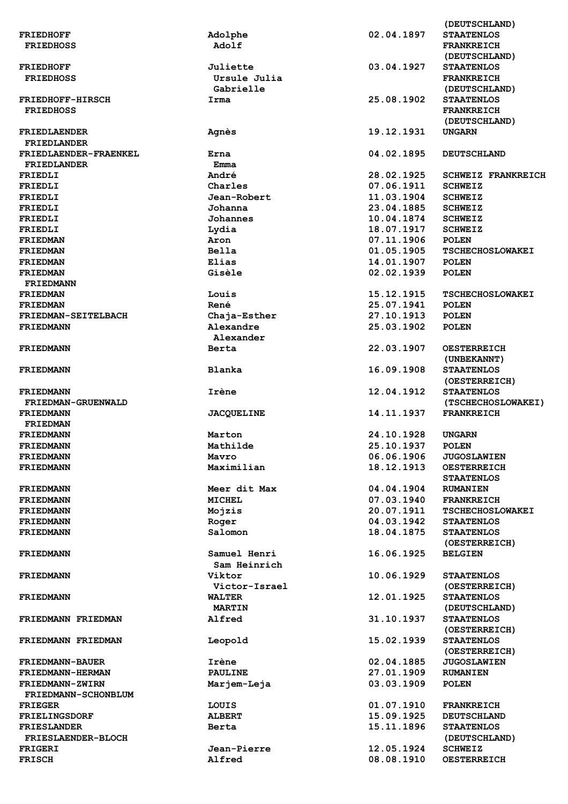|                           |                   |            | (DEUTSCHLAND)             |
|---------------------------|-------------------|------------|---------------------------|
| <b>FRIEDHOFF</b>          | Adolphe           | 02.04.1897 | <b>STAATENLOS</b>         |
| <b>FRIEDHOSS</b>          | Adolf             |            | <b>FRANKREICH</b>         |
|                           |                   |            |                           |
|                           |                   |            | (DEUTSCHLAND)             |
| <b>FRIEDHOFF</b>          | Juliette          | 03.04.1927 | <b>STAATENLOS</b>         |
| <b>FRIEDHOSS</b>          | Ursule Julia      |            | <b>FRANKREICH</b>         |
|                           | Gabrielle         |            | (DEUTSCHLAND)             |
|                           |                   |            |                           |
| <b>FRIEDHOFF-HIRSCH</b>   | Irma              | 25.08.1902 | <b>STAATENLOS</b>         |
| <b>FRIEDHOSS</b>          |                   |            | <b>FRANKREICH</b>         |
|                           |                   |            | (DEUTSCHLAND)             |
|                           |                   |            |                           |
| <b>FRIEDLAENDER</b>       | Agnès             | 19.12.1931 | <b>UNGARN</b>             |
| <b>FRIEDLANDER</b>        |                   |            |                           |
| FRIEDLAENDER-FRAENKEL     | Erna              | 04.02.1895 | <b>DEUTSCHLAND</b>        |
| <b>FRIEDLANDER</b>        | Emma              |            |                           |
|                           |                   |            |                           |
| FRIEDLI                   | André             | 28.02.1925 | <b>SCHWEIZ FRANKREICH</b> |
| FRIEDLI                   | Charles           | 07.06.1911 | <b>SCHWEIZ</b>            |
| FRIEDLI                   | Jean-Robert       | 11.03.1904 | <b>SCHWEIZ</b>            |
|                           |                   |            |                           |
| FRIEDLI                   | Johanna           | 23.04.1885 | <b>SCHWEIZ</b>            |
| FRIEDLI                   | Johannes          | 10.04.1874 | <b>SCHWEIZ</b>            |
| FRIEDLI                   | Lydia             | 18.07.1917 | <b>SCHWEIZ</b>            |
| <b>FRIEDMAN</b>           | Aron              | 07.11.1906 | <b>POLEN</b>              |
|                           |                   |            |                           |
| <b>FRIEDMAN</b>           | <b>Bella</b>      | 01.05.1905 | <b>TSCHECHOSLOWAKEI</b>   |
| <b>FRIEDMAN</b>           | Elias             | 14.01.1907 | <b>POLEN</b>              |
| <b>FRIEDMAN</b>           | Gisèle            | 02.02.1939 | <b>POLEN</b>              |
|                           |                   |            |                           |
| <b>FRIEDMANN</b>          |                   |            |                           |
| <b>FRIEDMAN</b>           | Louis             | 15.12.1915 | <b>TSCHECHOSLOWAKEI</b>   |
| <b>FRIEDMAN</b>           | René              | 25.07.1941 | <b>POLEN</b>              |
|                           |                   |            |                           |
| FRIEDMAN-SEITELBACH       | Chaja-Esther      | 27.10.1913 | <b>POLEN</b>              |
| <b>FRIEDMANN</b>          | Alexandre         | 25.03.1902 | <b>POLEN</b>              |
|                           | Alexander         |            |                           |
| <b>FRIEDMANN</b>          | Berta             | 22.03.1907 | <b>OESTERREICH</b>        |
|                           |                   |            |                           |
|                           |                   |            | (UNBEKANNT)               |
| <b>FRIEDMANN</b>          | <b>Blanka</b>     | 16.09.1908 | <b>STAATENLOS</b>         |
|                           |                   |            | (OESTERREICH)             |
|                           |                   |            |                           |
| <b>FRIEDMANN</b>          | Irène             | 12.04.1912 | <b>STAATENLOS</b>         |
| FRIEDMAN-GRUENWALD        |                   |            | (TSCHECHOSLOWAKEI)        |
| <b>FRIEDMANN</b>          |                   |            |                           |
|                           |                   |            | <b>FRANKREICH</b>         |
|                           | <b>JACQUELINE</b> | 14.11.1937 |                           |
| <b>FRIEDMAN</b>           |                   |            |                           |
| <b>FRIEDMANN</b>          | Marton            | 24.10.1928 | <b>UNGARN</b>             |
| FRIEDMANN                 | Mathilde          | 25.10.1937 | <b>POLEN</b>              |
|                           |                   |            |                           |
| <b>FRIEDMANN</b>          | Mavro             | 06.06.1906 | <b>JUGOSLAWIEN</b>        |
| <b>FRIEDMANN</b>          | Maximilian        | 18.12.1913 | <b>OESTERREICH</b>        |
|                           |                   |            | <b>STAATENLOS</b>         |
|                           |                   |            |                           |
| <b>FRIEDMANN</b>          | Meer dit Max      | 04.04.1904 | <b>RUMANIEN</b>           |
| <b>FRIEDMANN</b>          | <b>MICHEL</b>     | 07.03.1940 | <b>FRANKREICH</b>         |
| <b>FRIEDMANN</b>          | Mojzis            | 20.07.1911 | <b>TSCHECHOSLOWAKEI</b>   |
| <b>FRIEDMANN</b>          |                   | 04.03.1942 | <b>STAATENLOS</b>         |
|                           | Roger             |            |                           |
| <b>FRIEDMANN</b>          | Salomon           | 18.04.1875 | <b>STAATENLOS</b>         |
|                           |                   |            | (OESTERREICH)             |
| <b>FRIEDMANN</b>          | Samuel Henri      | 16.06.1925 | <b>BELGIEN</b>            |
|                           |                   |            |                           |
|                           | Sam Heinrich      |            |                           |
| <b>FRIEDMANN</b>          | Viktor            | 10.06.1929 | <b>STAATENLOS</b>         |
|                           | Victor-Israel     |            | (OESTERREICH)             |
| <b>FRIEDMANN</b>          | <b>WALTER</b>     | 12.01.1925 | <b>STAATENLOS</b>         |
|                           |                   |            |                           |
|                           | <b>MARTIN</b>     |            | (DEUTSCHLAND)             |
| FRIEDMANN FRIEDMAN        | Alfred            | 31.10.1937 | <b>STAATENLOS</b>         |
|                           |                   |            | (OESTERREICH)             |
|                           |                   |            |                           |
| FRIEDMANN FRIEDMAN        | Leopold           | 15.02.1939 | <b>STAATENLOS</b>         |
|                           |                   |            | (OESTERREICH)             |
| <b>FRIEDMANN-BAUER</b>    | Irène             | 02.04.1885 | <b>JUGOSLAWIEN</b>        |
| FRIEDMANN-HERMAN          | <b>PAULINE</b>    |            | <b>RUMANIEN</b>           |
|                           |                   | 27.01.1909 |                           |
| FRIEDMANN-ZWIRN           | Marjem-Leja       | 03.03.1909 | <b>POLEN</b>              |
| FRIEDMANN-SCHONBLUM       |                   |            |                           |
| <b>FRIEGER</b>            | LOUIS             | 01.07.1910 | <b>FRANKREICH</b>         |
|                           |                   |            |                           |
| <b>FRIELINGSDORF</b>      | <b>ALBERT</b>     | 15.09.1925 | <b>DEUTSCHLAND</b>        |
| <b>FRIESLANDER</b>        | Berta             | 15.11.1896 | <b>STAATENLOS</b>         |
| <b>FRIESLAENDER-BLOCH</b> |                   |            | (DEUTSCHLAND)             |
| FRIGERI                   | Jean-Pierre       | 12.05.1924 | <b>SCHWEIZ</b>            |
| <b>FRISCH</b>             | Alfred            | 08.08.1910 | <b>OESTERREICH</b>        |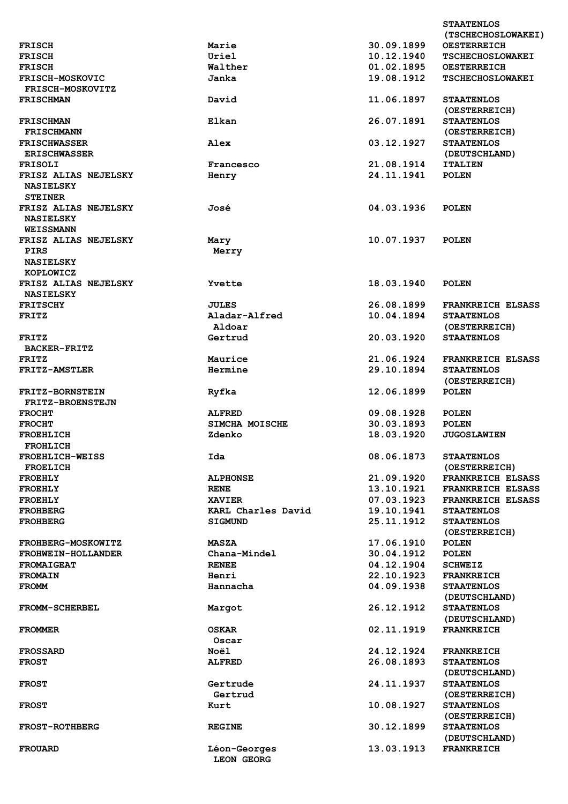|                                          |                       |            | <b>STAATENLOS</b><br>(TSCHECHOSLOWAKEI) |
|------------------------------------------|-----------------------|------------|-----------------------------------------|
| <b>FRISCH</b>                            | Marie                 | 30.09.1899 | <b>OESTERREICH</b>                      |
|                                          | Uriel                 | 10.12.1940 |                                         |
| <b>FRISCH</b>                            |                       | 01.02.1895 | <b>TSCHECHOSLOWAKEI</b>                 |
| <b>FRISCH</b>                            | Walther               |            | <b>OESTERREICH</b>                      |
| <b>FRISCH-MOSKOVIC</b>                   | Janka                 | 19.08.1912 | <b>TSCHECHOSLOWAKEI</b>                 |
| <b>FRISCH-MOSKOVITZ</b>                  |                       |            |                                         |
| <b>FRISCHMAN</b>                         | David                 | 11.06.1897 | <b>STAATENLOS</b><br>(OESTERREICH)      |
| <b>FRISCHMAN</b><br><b>FRISCHMANN</b>    | Elkan                 | 26.07.1891 | <b>STAATENLOS</b><br>(OESTERREICH)      |
| <b>FRISCHWASSER</b>                      | Alex                  | 03.12.1927 | <b>STAATENLOS</b>                       |
| <b>ERISCHWASSER</b>                      |                       |            | (DEUTSCHLAND)                           |
| <b>FRISOLI</b>                           | Francesco             | 21.08.1914 | <b>ITALIEN</b>                          |
| FRISZ ALIAS NEJELSKY                     | Henry                 | 24.11.1941 | <b>POLEN</b>                            |
| <b>NASIELSKY</b>                         |                       |            |                                         |
| <b>STEINER</b>                           |                       |            |                                         |
| FRISZ ALIAS NEJELSKY<br><b>NASIELSKY</b> | José                  | 04.03.1936 | <b>POLEN</b>                            |
| <b>WEISSMANN</b>                         |                       |            |                                         |
| FRISZ ALIAS NEJELSKY                     | Mary                  | 10.07.1937 | <b>POLEN</b>                            |
| <b>PIRS</b>                              | Merry                 |            |                                         |
| <b>NASIELSKY</b>                         |                       |            |                                         |
| <b>KOPLOWICZ</b>                         |                       |            |                                         |
| FRISZ ALIAS NEJELSKY                     | Yvette                | 18.03.1940 | <b>POLEN</b>                            |
| <b>NASIELSKY</b>                         |                       |            |                                         |
| <b>FRITSCHY</b>                          | <b>JULES</b>          | 26.08.1899 | <b>FRANKREICH ELSASS</b>                |
| <b>FRITZ</b>                             | Aladar-Alfred         | 10.04.1894 | <b>STAATENLOS</b>                       |
|                                          | Aldoar                |            | (OESTERREICH)                           |
| <b>FRITZ</b>                             | Gertrud               | 20.03.1920 | <b>STAATENLOS</b>                       |
| <b>BACKER-FRITZ</b>                      |                       |            |                                         |
| <b>FRITZ</b>                             | Maurice               | 21.06.1924 | <b>FRANKREICH ELSASS</b>                |
| <b>FRITZ-AMSTLER</b>                     | Hermine               | 29.10.1894 | <b>STAATENLOS</b>                       |
|                                          |                       |            | (OESTERREICH)                           |
| <b>FRITZ-BORNSTEIN</b>                   | Ryfka                 | 12.06.1899 | <b>POLEN</b>                            |
| <b>FRITZ-BROENSTEJN</b>                  |                       |            |                                         |
| <b>FROCHT</b>                            | <b>ALFRED</b>         | 09.08.1928 | <b>POLEN</b>                            |
| <b>FROCHT</b>                            | <b>SIMCHA MOISCHE</b> | 30.03.1893 | <b>POLEN</b>                            |
| FROEHLICH                                | Zdenko                | 18.03.1920 | <b>JUGOSLAWIEN</b>                      |
| <b>FROHLICH</b>                          |                       |            |                                         |
| <b>FROEHLICH-WEISS</b>                   | Ida                   | 08.06.1873 | <b>STAATENLOS</b>                       |
| <b>FROELICH</b>                          |                       |            | (OESTERREICH)                           |
| <b>FROEHLY</b>                           | <b>ALPHONSE</b>       | 21.09.1920 | FRANKREICH ELSASS                       |
| <b>FROEHLY</b>                           | <b>RENE</b>           | 13.10.1921 | <b>FRANKREICH ELSASS</b>                |
| <b>FROEHLY</b>                           | <b>XAVIER</b>         | 07.03.1923 | <b>FRANKREICH ELSASS</b>                |
|                                          | KARL Charles David    | 19.10.1941 |                                         |
| <b>FROHBERG</b>                          |                       | 25.11.1912 | <b>STAATENLOS</b>                       |
| <b>FROHBERG</b>                          | <b>SIGMUND</b>        |            | <b>STAATENLOS</b><br>(OESTERREICH)      |
| <b>FROHBERG-MOSKOWITZ</b>                | <b>MASZA</b>          | 17.06.1910 | <b>POLEN</b>                            |
| FROHWEIN-HOLLANDER                       | Chana-Mindel          | 30.04.1912 | <b>POLEN</b>                            |
| <b>FROMAIGEAT</b>                        | <b>RENEE</b>          | 04.12.1904 | <b>SCHWEIZ</b>                          |
| <b>FROMAIN</b>                           | Henri                 | 22.10.1923 | <b>FRANKREICH</b>                       |
| <b>FROMM</b>                             | Hannacha              | 04.09.1938 | <b>STAATENLOS</b><br>(DEUTSCHLAND)      |
| <b>FROMM-SCHERBEL</b>                    | Margot                | 26.12.1912 | <b>STAATENLOS</b><br>(DEUTSCHLAND)      |
| <b>FROMMER</b>                           | OSKAR                 | 02.11.1919 | <b>FRANKREICH</b>                       |
|                                          | Oscar                 |            |                                         |
| <b>FROSSARD</b>                          | Noël                  | 24.12.1924 | <b>FRANKREICH</b>                       |
| <b>FROST</b>                             | <b>ALFRED</b>         | 26.08.1893 | <b>STAATENLOS</b>                       |
|                                          |                       |            | (DEUTSCHLAND)                           |
| <b>FROST</b>                             | Gertrude              | 24.11.1937 | <b>STAATENLOS</b>                       |
|                                          | Gertrud               |            | (OESTERREICH)                           |
| <b>FROST</b>                             | Kurt                  | 10.08.1927 | <b>STAATENLOS</b>                       |
|                                          |                       |            | (OESTERREICH)                           |
| <b>FROST-ROTHBERG</b>                    | <b>REGINE</b>         | 30.12.1899 | <b>STAATENLOS</b>                       |
|                                          |                       |            | (DEUTSCHLAND)                           |
| <b>FROUARD</b>                           | Léon-Georges          | 13.03.1913 | <b>FRANKREICH</b>                       |
|                                          | <b>LEON GEORG</b>     |            |                                         |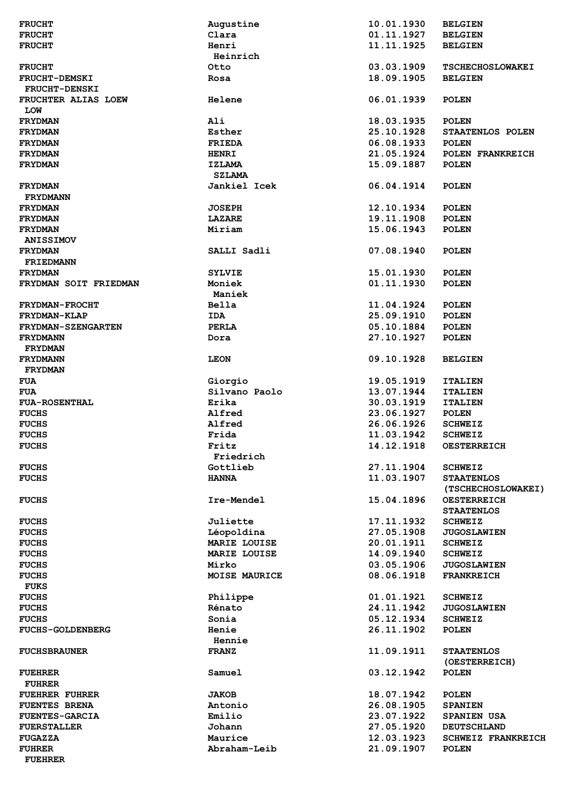| <b>FRUCHT</b>             | Augustine           | 10.01.1930 | <b>BELGIEN</b>            |
|---------------------------|---------------------|------------|---------------------------|
| <b>FRUCHT</b>             | Clara               | 01.11.1927 | <b>BELGIEN</b>            |
| <b>FRUCHT</b>             | Henri               | 11.11.1925 | <b>BELGIEN</b>            |
|                           | Heinrich            |            |                           |
| <b>FRUCHT</b>             | Otto                | 03.03.1909 | <b>TSCHECHOSLOWAKEI</b>   |
| <b>FRUCHT-DEMSKI</b>      | Rosa                | 18.09.1905 | <b>BELGIEN</b>            |
| <b>FRUCHT-DENSKI</b>      |                     |            |                           |
| FRUCHTER ALIAS LOEW       | <b>Helene</b>       | 06.01.1939 | <b>POLEN</b>              |
| <b>TOM</b>                |                     |            |                           |
| <b>FRYDMAN</b>            | Ali                 | 18.03.1935 | <b>POLEN</b>              |
| <b>FRYDMAN</b>            | Esther              | 25.10.1928 | STAATENLOS POLEN          |
| <b>FRYDMAN</b>            | <b>FRIEDA</b>       | 06.08.1933 | <b>POLEN</b>              |
| <b>FRYDMAN</b>            | <b>HENRI</b>        | 21.05.1924 | POLEN FRANKREICH          |
| <b>FRYDMAN</b>            | <b>IZLAMA</b>       | 15.09.1887 | <b>POLEN</b>              |
|                           | <b>SZLAMA</b>       |            |                           |
| <b>FRYDMAN</b>            | Jankiel Icek        | 06.04.1914 | <b>POLEN</b>              |
| <b>FRYDMANN</b>           |                     |            |                           |
| <b>FRYDMAN</b>            | <b>JOSEPH</b>       | 12.10.1934 | <b>POLEN</b>              |
| <b>FRYDMAN</b>            | <b>LAZARE</b>       | 19.11.1908 | <b>POLEN</b>              |
| <b>FRYDMAN</b>            | Miriam              | 15.06.1943 | <b>POLEN</b>              |
| <b>ANISSIMOV</b>          |                     |            |                           |
| <b>FRYDMAN</b>            | SALLI Sadli         | 07.08.1940 | <b>POLEN</b>              |
| <b>FRIEDMANN</b>          |                     |            |                           |
|                           |                     |            |                           |
| <b>FRYDMAN</b>            | <b>SYLVIE</b>       | 15.01.1930 | <b>POLEN</b>              |
| FRYDMAN SOIT FRIEDMAN     | Moniek              | 01.11.1930 | POLEN                     |
|                           | Maniek              |            |                           |
| <b>FRYDMAN-FROCHT</b>     | Bella               | 11.04.1924 | <b>POLEN</b>              |
| FRYDMAN-KLAP              | <b>IDA</b>          | 25.09.1910 | <b>POLEN</b>              |
| <b>FRYDMAN-SZENGARTEN</b> | <b>PERLA</b>        | 05.10.1884 | <b>POLEN</b>              |
| <b>FRYDMANN</b>           | Dora                | 27.10.1927 | <b>POLEN</b>              |
| <b>FRYDMAN</b>            |                     |            |                           |
| <b>FRYDMANN</b>           | <b>LEON</b>         | 09.10.1928 | <b>BELGIEN</b>            |
| <b>FRYDMAN</b>            |                     |            |                           |
| <b>FUA</b>                | Giorgio             | 19.05.1919 | <b>ITALIEN</b>            |
| <b>FUA</b>                | Silvano Paolo       | 13.07.1944 | <b>ITALIEN</b>            |
| <b>FUA-ROSENTHAL</b>      | Erika               | 30.03.1919 | <b>ITALIEN</b>            |
| <b>FUCHS</b>              | Alfred              | 23.06.1927 | <b>POLEN</b>              |
| <b>FUCHS</b>              | Alfred              | 26.06.1926 | <b>SCHWEIZ</b>            |
| <b>FUCHS</b>              | Frida               | 11.03.1942 | <b>SCHWEIZ</b>            |
| <b>FUCHS</b>              | Fritz               | 14.12.1918 | <b>OESTERREICH</b>        |
|                           | Friedrich           |            |                           |
| <b>FUCHS</b>              | Gottlieb            | 27.11.1904 | <b>SCHWEIZ</b>            |
| <b>FUCHS</b>              | <b>HANNA</b>        | 11.03.1907 | <b>STAATENLOS</b>         |
|                           |                     |            | (TSCHECHOSLOWAKEI)        |
| <b>FUCHS</b>              | Ire-Mendel          | 15.04.1896 | <b>OESTERREICH</b>        |
|                           |                     |            | <b>STAATENLOS</b>         |
| <b>FUCHS</b>              | Juliette            | 17.11.1932 | <b>SCHWEIZ</b>            |
| <b>FUCHS</b>              | Léopoldina          | 27.05.1908 | <b>JUGOSLAWIEN</b>        |
| <b>FUCHS</b>              | <b>MARIE LOUISE</b> | 20.01.1911 | <b>SCHWEIZ</b>            |
| <b>FUCHS</b>              | <b>MARIE LOUISE</b> | 14.09.1940 | <b>SCHWEIZ</b>            |
| <b>FUCHS</b>              | Mirko               | 03.05.1906 | <b>JUGOSLAWIEN</b>        |
| <b>FUCHS</b>              | MOISE MAURICE       | 08.06.1918 | <b>FRANKREICH</b>         |
| <b>FUKS</b>               |                     |            |                           |
| <b>FUCHS</b>              | Philippe            | 01.01.1921 | <b>SCHWEIZ</b>            |
| <b>FUCHS</b>              | Rénato              | 24.11.1942 | <b>JUGOSLAWIEN</b>        |
| <b>FUCHS</b>              | Sonia               | 05.12.1934 | <b>SCHWEIZ</b>            |
| <b>FUCHS-GOLDENBERG</b>   | Henie               | 26.11.1902 | <b>POLEN</b>              |
|                           |                     |            |                           |
|                           | Hennie              |            |                           |
| <b>FUCHSBRAUNER</b>       | <b>FRANZ</b>        | 11.09.1911 | <b>STAATENLOS</b>         |
|                           |                     |            | (OESTERREICH)             |
| <b>FUEHRER</b>            | Samuel              | 03.12.1942 | <b>POLEN</b>              |
| <b>FUHRER</b>             |                     |            |                           |
| <b>FUEHRER FUHRER</b>     | <b>JAKOB</b>        | 18.07.1942 | <b>POLEN</b>              |
| <b>FUENTES BRENA</b>      | Antonio             | 26.08.1905 | <b>SPANIEN</b>            |
| <b>FUENTES-GARCIA</b>     | Emilio              | 23.07.1922 | <b>SPANIEN USA</b>        |
| <b>FUERSTALLER</b>        | Johann              | 27.05.1920 | <b>DEUTSCHLAND</b>        |
| <b>FUGAZZA</b>            | Maurice             | 12.03.1923 | <b>SCHWEIZ FRANKREICH</b> |
| <b>FUHRER</b>             | Abraham-Leib        | 21.09.1907 | <b>POLEN</b>              |
| <b>FUEHRER</b>            |                     |            |                           |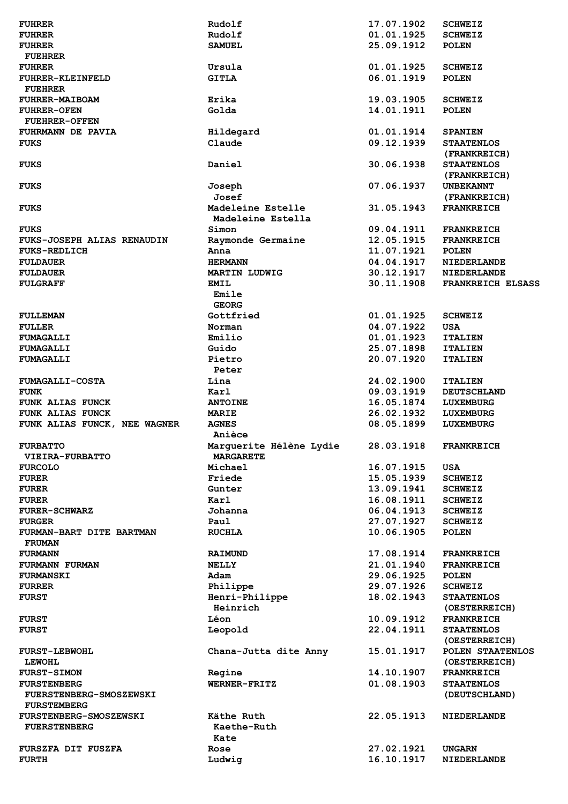| <b>FUHRER</b>                 | Rudolf                  | 17.07.1902               | <b>SCHWEIZ</b>                      |
|-------------------------------|-------------------------|--------------------------|-------------------------------------|
| <b>FUHRER</b>                 | Rudolf                  | 01.01.1925               | <b>SCHWEIZ</b>                      |
| <b>FUHRER</b>                 | <b>SAMUEL</b>           | 25.09.1912               | <b>POLEN</b>                        |
| <b>FUEHRER</b>                |                         |                          |                                     |
| <b>FUHRER</b>                 | Ursula                  | 01.01.1925               | <b>SCHWEIZ</b>                      |
| FUHRER-KLEINFELD              | <b>GITLA</b>            | 06.01.1919               | <b>POLEN</b>                        |
| <b>FUEHRER</b>                |                         |                          |                                     |
| <b>FUHRER-MAIBOAM</b>         | Erika                   | 19.03.1905               | <b>SCHWEIZ</b>                      |
| <b>FUHRER-OFEN</b>            | Golda                   | 14.01.1911               | <b>POLEN</b>                        |
| <b>FUEHRER-OFFEN</b>          |                         |                          |                                     |
| FUHRMANN DE PAVIA             | Hildegard               | 01.01.1914               | <b>SPANIEN</b>                      |
| <b>FUKS</b>                   | Claude                  | 09.12.1939               | <b>STAATENLOS</b>                   |
|                               |                         |                          | (FRANKREICH)                        |
| <b>FUKS</b>                   | Daniel                  | 30.06.1938               | <b>STAATENLOS</b>                   |
|                               |                         |                          | (FRANKREICH)                        |
| <b>FUKS</b>                   | Joseph                  | 07.06.1937               | <b>UNBEKANNT</b>                    |
|                               | Josef                   |                          | (FRANKREICH)                        |
|                               | Madeleine Estelle       | 31.05.1943               | <b>FRANKREICH</b>                   |
| <b>FUKS</b>                   | Madeleine Estella       |                          |                                     |
|                               |                         |                          |                                     |
| <b>FUKS</b>                   | Simon                   | 09.04.1911               | <b>FRANKREICH</b>                   |
| FUKS-JOSEPH ALIAS RENAUDIN    | Raymonde Germaine       | 12.05.1915               | <b>FRANKREICH</b>                   |
| <b>FUKS-REDLICH</b>           | Anna                    | 11.07.1921               | <b>POLEN</b>                        |
| <b>FULDAUER</b>               | <b>HERMANN</b>          | 04.04.1917               | NIEDERLANDE                         |
| <b>FULDAUER</b>               | <b>MARTIN LUDWIG</b>    | 30.12.1917               | <b>NIEDERLANDE</b>                  |
| <b>FULGRAFF</b>               | <b>EMIL</b>             | 30.11.1908               | FRANKREICH ELSASS                   |
|                               | Emile                   |                          |                                     |
|                               | <b>GEORG</b>            |                          |                                     |
| <b>FULLEMAN</b>               | Gottfried               | 01.01.1925               | <b>SCHWEIZ</b>                      |
| <b>FULLER</b>                 | Norman                  | 04.07.1922               | <b>USA</b>                          |
| FUMAGALLI                     | Emilio                  | 01.01.1923               | <b>ITALIEN</b>                      |
| <b>FUMAGALLI</b>              | Guido                   | 25.07.1898               | <b>ITALIEN</b>                      |
| <b>FUMAGALLI</b>              | Pietro                  | 20.07.1920               | <b>ITALIEN</b>                      |
|                               | Peter                   |                          |                                     |
| <b>FUMAGALLI-COSTA</b>        | Lina                    | 24.02.1900               | <b>ITALIEN</b>                      |
| <b>FUNK</b>                   | Karl                    | 09.03.1919               | <b>DEUTSCHLAND</b>                  |
| FUNK ALIAS FUNCK              | <b>ANTOINE</b>          | 16.05.1874               | <b>LUXEMBURG</b>                    |
| <b>FUNK ALIAS FUNCK</b>       | <b>MARIE</b>            | 26.02.1932               | LUXEMBURG                           |
| FUNK ALIAS FUNCK, NEE WAGNER  | <b>AGNES</b>            | 08.05.1899               | LUXEMBURG                           |
|                               | Anièce                  |                          |                                     |
| <b>FURBATTO</b>               | Marguerite Hélène Lydie | 28.03.1918               | <b>FRANKREICH</b>                   |
| <b>VIEIRA-FURBATTO</b>        | <b>MARGARETE</b>        |                          |                                     |
| <b>FURCOLO</b>                | Michael                 | 16.07.1915               | USA                                 |
| <b>FURER</b>                  | Friede                  | 15.05.1939               | <b>SCHWEIZ</b>                      |
| <b>FURER</b>                  | Gunter                  | 13.09.1941               | <b>SCHWEIZ</b>                      |
| <b>FURER</b>                  | Karl                    | 16.08.1911               | <b>SCHWEIZ</b>                      |
| <b>FURER-SCHWARZ</b>          | Johanna                 | 06.04.1913               | <b>SCHWEIZ</b>                      |
| <b>FURGER</b>                 | Paul                    | 27.07.1927               | <b>SCHWEIZ</b>                      |
| FURMAN-BART DITE BARTMAN      | <b>RUCHLA</b>           | 10.06.1905               | <b>POLEN</b>                        |
| <b>FRUMAN</b>                 |                         |                          |                                     |
| <b>FURMANN</b>                | <b>RAIMUND</b>          | 17.08.1914               | <b>FRANKREICH</b>                   |
| <b>FURMANN FURMAN</b>         | <b>NELLY</b>            | 21.01.1940               | <b>FRANKREICH</b>                   |
| <b>FURMANSKI</b>              | Adam                    | 29.06.1925               | <b>POLEN</b>                        |
| <b>FURRER</b>                 | Philippe                | 29.07.1926               | <b>SCHWEIZ</b>                      |
| <b>FURST</b>                  | Henri-Philippe          | 18.02.1943               | <b>STAATENLOS</b>                   |
|                               | Heinrich                |                          | (OESTERREICH)                       |
|                               |                         | 10.09.1912               |                                     |
| <b>FURST</b>                  | Léon                    | 22.04.1911               | <b>FRANKREICH</b>                   |
| <b>FURST</b>                  | Leopold                 |                          | <b>STAATENLOS</b>                   |
|                               |                         |                          | (OESTERREICH)                       |
| <b>FURST-LEBWOHL</b>          | Chana-Jutta dite Anny   | 15.01.1917               | POLEN STAATENLOS                    |
| <b>LEWOHL</b>                 |                         |                          | (OESTERREICH)                       |
| <b>FURST-SIMON</b>            | Regine                  | 14.10.1907               | <b>FRANKREICH</b>                   |
| <b>FURSTENBERG</b>            | WERNER-FRITZ            | 01.08.1903               | <b>STAATENLOS</b>                   |
| FUERSTENBERG-SMOSZEWSKI       |                         |                          | (DEUTSCHLAND)                       |
| <b>FURSTEMBERG</b>            |                         |                          |                                     |
| <b>FURSTENBERG-SMOSZEWSKI</b> | Käthe Ruth              | 22.05.1913               | <b>NIEDERLANDE</b>                  |
| <b>FUERSTENBERG</b>           | Kaethe-Ruth             |                          |                                     |
|                               | Kate                    |                          |                                     |
| FURSZFA DIT FUSZFA            |                         |                          |                                     |
| <b>FURTH</b>                  | Rose<br>Ludwig          | 27.02.1921<br>16.10.1917 | <b>UNGARN</b><br><b>NIEDERLANDE</b> |